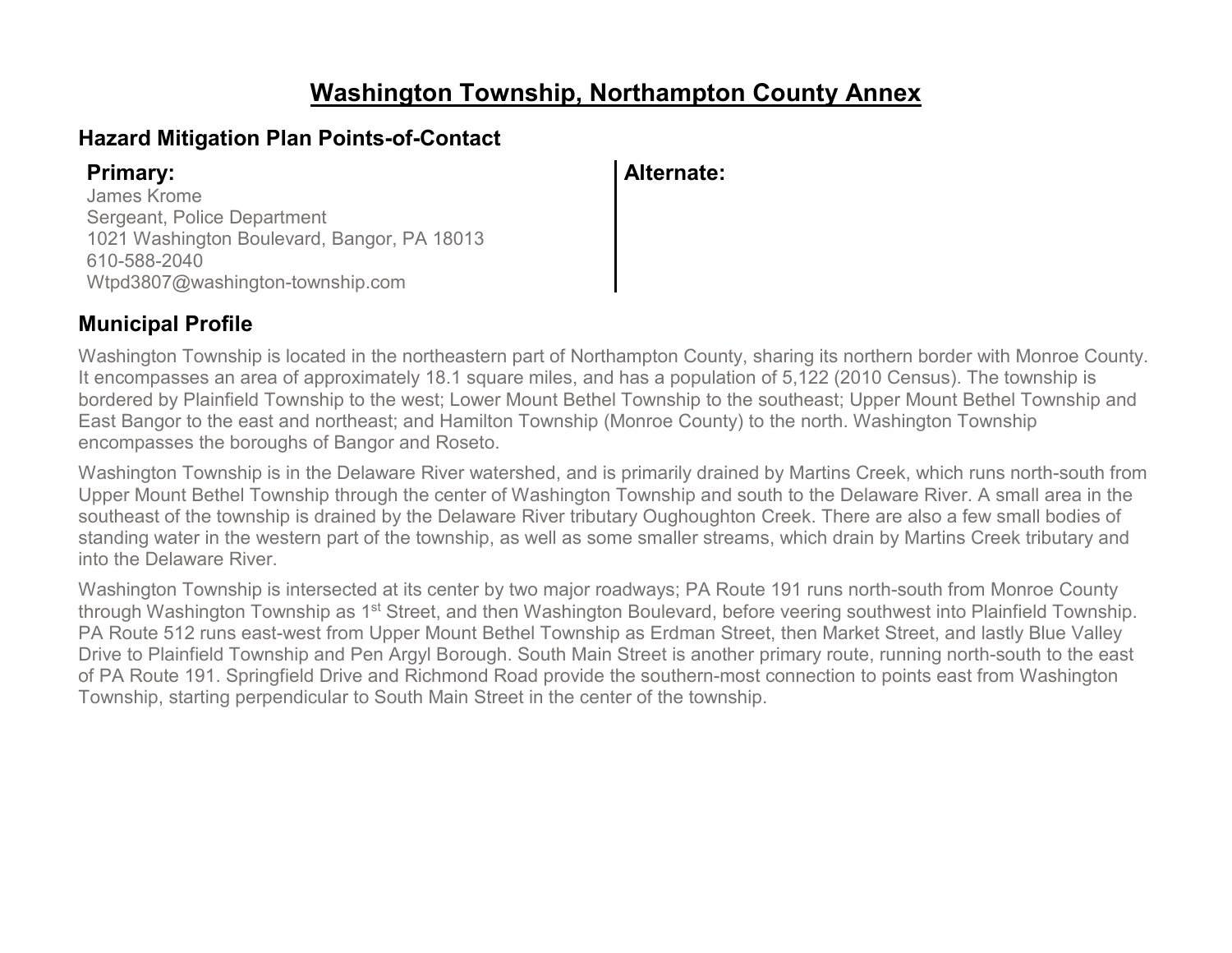### **Washington Township, Northampton County Annex**

#### **Hazard Mitigation Plan Points-of-Contact**

James Krome Sergeant, Police Department 1021 Washington Boulevard, Bangor, PA 18013 610-588-2040 Wtpd3807@washington-township.com

#### **Primary: Alternate:**

#### **Municipal Profile**

Washington Township is located in the northeastern part of Northampton County, sharing its northern border with Monroe County. It encompasses an area of approximately 18.1 square miles, and has a population of 5,122 (2010 Census). The township is bordered by Plainfield Township to the west; Lower Mount Bethel Township to the southeast; Upper Mount Bethel Township and East Bangor to the east and northeast; and Hamilton Township (Monroe County) to the north. Washington Township encompasses the boroughs of Bangor and Roseto.

Washington Township is in the Delaware River watershed, and is primarily drained by Martins Creek, which runs north-south from Upper Mount Bethel Township through the center of Washington Township and south to the Delaware River. A small area in the southeast of the township is drained by the Delaware River tributary Oughoughton Creek. There are also a few small bodies of standing water in the western part of the township, as well as some smaller streams, which drain by Martins Creek tributary and into the Delaware River.

Washington Township is intersected at its center by two major roadways; PA Route 191 runs north-south from Monroe County through Washington Township as 1<sup>st</sup> Street, and then Washington Boulevard, before veering southwest into Plainfield Township. PA Route 512 runs east-west from Upper Mount Bethel Township as Erdman Street, then Market Street, and lastly Blue Valley Drive to Plainfield Township and Pen Argyl Borough. South Main Street is another primary route, running north-south to the east of PA Route 191. Springfield Drive and Richmond Road provide the southern-most connection to points east from Washington Township, starting perpendicular to South Main Street in the center of the township.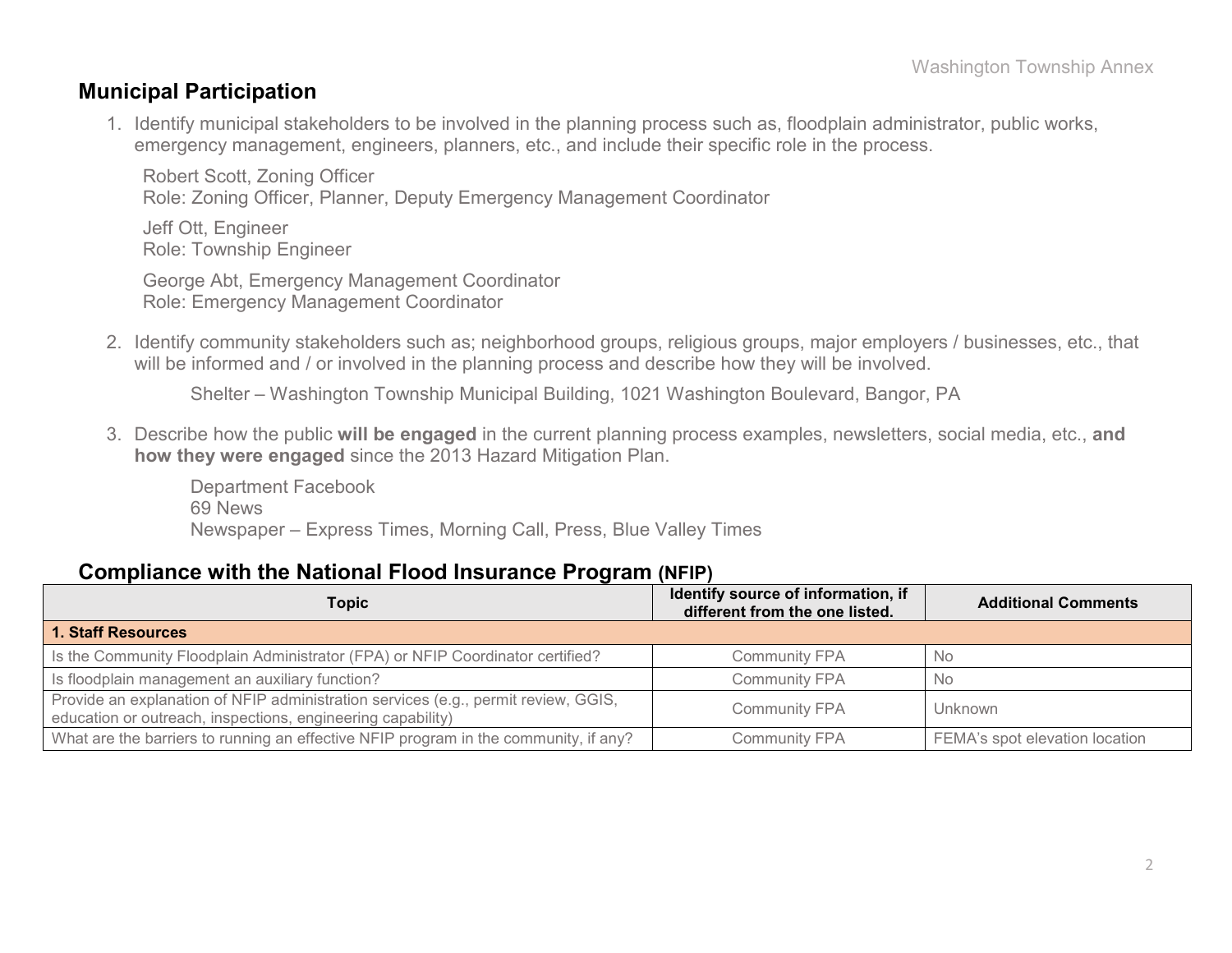#### **Municipal Participation**

1. Identify municipal stakeholders to be involved in the planning process such as, floodplain administrator, public works, emergency management, engineers, planners, etc., and include their specific role in the process.

Robert Scott, Zoning Officer Role: Zoning Officer, Planner, Deputy Emergency Management Coordinator

Jeff Ott, Engineer Role: Township Engineer

George Abt, Emergency Management Coordinator Role: Emergency Management Coordinator

2. Identify community stakeholders such as; neighborhood groups, religious groups, major employers / businesses, etc., that will be informed and / or involved in the planning process and describe how they will be involved.

Shelter – Washington Township Municipal Building, 1021 Washington Boulevard, Bangor, PA

3. Describe how the public **will be engaged** in the current planning process examples, newsletters, social media, etc., **and how they were engaged** since the 2013 Hazard Mitigation Plan.

Department Facebook 69 News Newspaper – Express Times, Morning Call, Press, Blue Valley Times

#### **Compliance with the National Flood Insurance Program (NFIP)**

| . .                                                                                                                                               |                                                                      |                                |  |  |
|---------------------------------------------------------------------------------------------------------------------------------------------------|----------------------------------------------------------------------|--------------------------------|--|--|
| <b>Topic</b>                                                                                                                                      | Identify source of information, if<br>different from the one listed. | <b>Additional Comments</b>     |  |  |
| 1. Staff Resources                                                                                                                                |                                                                      |                                |  |  |
| Is the Community Floodplain Administrator (FPA) or NFIP Coordinator certified?                                                                    | <b>Community FPA</b>                                                 | <b>No</b>                      |  |  |
| Is floodplain management an auxiliary function?                                                                                                   | <b>Community FPA</b>                                                 | No.                            |  |  |
| Provide an explanation of NFIP administration services (e.g., permit review, GGIS,<br>education or outreach, inspections, engineering capability) | <b>Community FPA</b>                                                 | <b>Unknown</b>                 |  |  |
| What are the barriers to running an effective NFIP program in the community, if any?                                                              | <b>Community FPA</b>                                                 | FEMA's spot elevation location |  |  |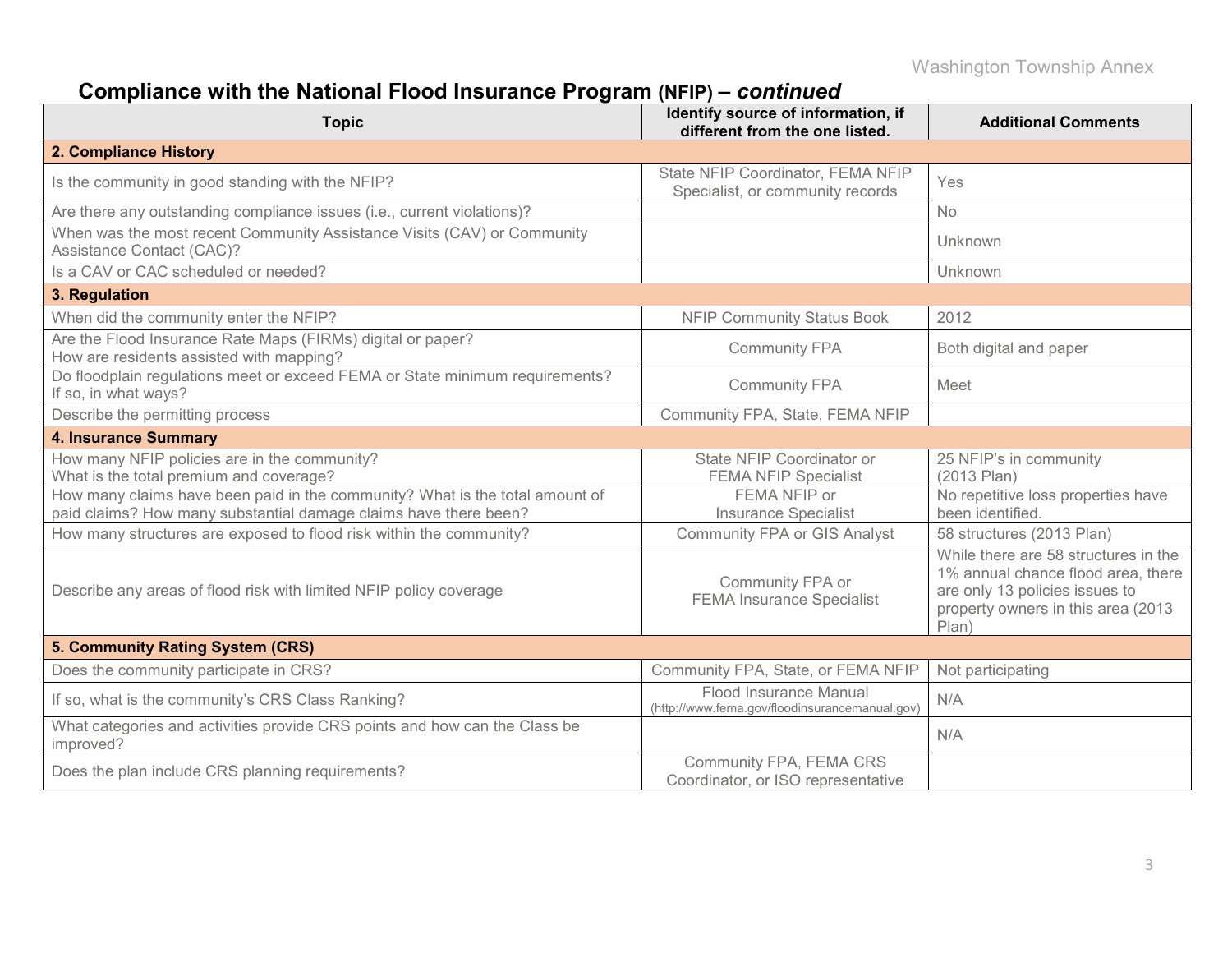# **Compliance with the National Flood Insurance Program (NFIP) –** *continued*

| <b>Topic</b>                                                                                                                                     | Identify source of information, if<br>different from the one listed.     | <b>Additional Comments</b>                                                                                                                                  |  |  |
|--------------------------------------------------------------------------------------------------------------------------------------------------|--------------------------------------------------------------------------|-------------------------------------------------------------------------------------------------------------------------------------------------------------|--|--|
| 2. Compliance History                                                                                                                            |                                                                          |                                                                                                                                                             |  |  |
| Is the community in good standing with the NFIP?                                                                                                 | State NFIP Coordinator, FEMA NFIP<br>Specialist, or community records    | Yes                                                                                                                                                         |  |  |
| Are there any outstanding compliance issues (i.e., current violations)?                                                                          |                                                                          | <b>No</b>                                                                                                                                                   |  |  |
| When was the most recent Community Assistance Visits (CAV) or Community<br>Assistance Contact (CAC)?                                             |                                                                          | Unknown                                                                                                                                                     |  |  |
| Is a CAV or CAC scheduled or needed?                                                                                                             |                                                                          | Unknown                                                                                                                                                     |  |  |
| 3. Regulation                                                                                                                                    |                                                                          |                                                                                                                                                             |  |  |
| When did the community enter the NFIP?                                                                                                           | <b>NFIP Community Status Book</b>                                        | 2012                                                                                                                                                        |  |  |
| Are the Flood Insurance Rate Maps (FIRMs) digital or paper?<br>How are residents assisted with mapping?                                          | <b>Community FPA</b>                                                     | Both digital and paper                                                                                                                                      |  |  |
| Do floodplain regulations meet or exceed FEMA or State minimum requirements?<br>If so, in what ways?                                             | <b>Community FPA</b>                                                     | Meet                                                                                                                                                        |  |  |
| Describe the permitting process                                                                                                                  | Community FPA, State, FEMA NFIP                                          |                                                                                                                                                             |  |  |
| <b>4. Insurance Summary</b>                                                                                                                      |                                                                          |                                                                                                                                                             |  |  |
| How many NFIP policies are in the community?<br>What is the total premium and coverage?                                                          | State NFIP Coordinator or<br><b>FEMA NFIP Specialist</b>                 | 25 NFIP's in community<br>(2013 Plan)                                                                                                                       |  |  |
| How many claims have been paid in the community? What is the total amount of<br>paid claims? How many substantial damage claims have there been? | FEMA NFIP or<br><b>Insurance Specialist</b>                              | No repetitive loss properties have<br>been identified.                                                                                                      |  |  |
| How many structures are exposed to flood risk within the community?                                                                              | <b>Community FPA or GIS Analyst</b>                                      | 58 structures (2013 Plan)                                                                                                                                   |  |  |
| Describe any areas of flood risk with limited NFIP policy coverage                                                                               | Community FPA or<br><b>FEMA Insurance Specialist</b>                     | While there are 58 structures in the<br>1% annual chance flood area, there<br>are only 13 policies issues to<br>property owners in this area (2013<br>Plan) |  |  |
| 5. Community Rating System (CRS)                                                                                                                 |                                                                          |                                                                                                                                                             |  |  |
| Does the community participate in CRS?                                                                                                           | Community FPA, State, or FEMA NFIP                                       | Not participating                                                                                                                                           |  |  |
| If so, what is the community's CRS Class Ranking?                                                                                                | Flood Insurance Manual<br>(http://www.fema.gov/floodinsurancemanual.gov) | N/A                                                                                                                                                         |  |  |
| What categories and activities provide CRS points and how can the Class be<br>improved?                                                          |                                                                          | N/A                                                                                                                                                         |  |  |
| Does the plan include CRS planning requirements?                                                                                                 | Community FPA, FEMA CRS<br>Coordinator, or ISO representative            |                                                                                                                                                             |  |  |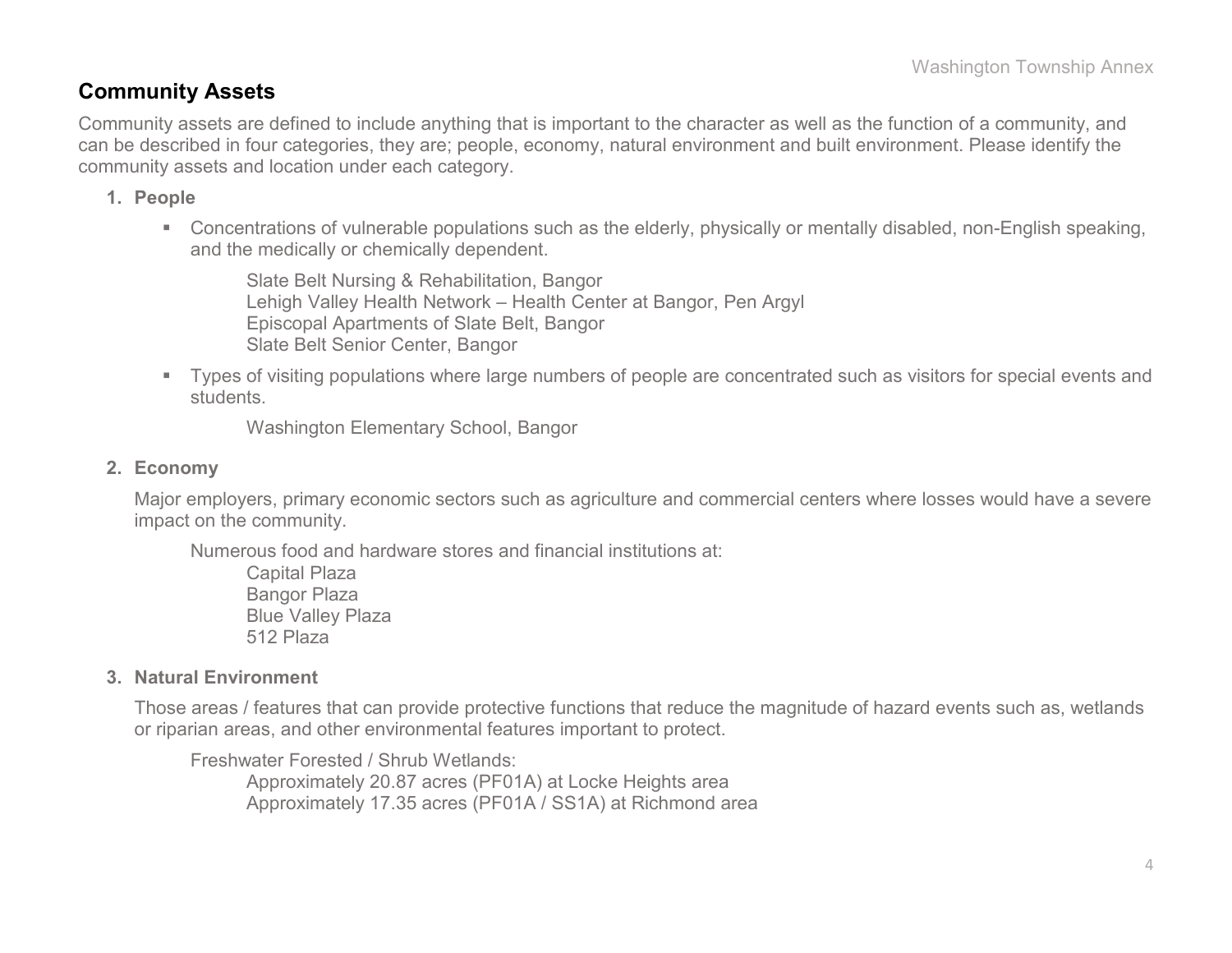#### **Community Assets**

Community assets are defined to include anything that is important to the character as well as the function of a community, and can be described in four categories, they are; people, economy, natural environment and built environment. Please identify the community assets and location under each category.

#### **1. People**

 Concentrations of vulnerable populations such as the elderly, physically or mentally disabled, non-English speaking, and the medically or chemically dependent.

Slate Belt Nursing & Rehabilitation, Bangor Lehigh Valley Health Network – Health Center at Bangor, Pen Argyl Episcopal Apartments of Slate Belt, Bangor Slate Belt Senior Center, Bangor

 Types of visiting populations where large numbers of people are concentrated such as visitors for special events and students.

Washington Elementary School, Bangor

#### **2. Economy**

Major employers, primary economic sectors such as agriculture and commercial centers where losses would have a severe impact on the community.

Numerous food and hardware stores and financial institutions at:

Capital Plaza Bangor Plaza Blue Valley Plaza 512 Plaza

#### **3. Natural Environment**

Those areas / features that can provide protective functions that reduce the magnitude of hazard events such as, wetlands or riparian areas, and other environmental features important to protect.

Freshwater Forested / Shrub Wetlands:

Approximately 20.87 acres (PF01A) at Locke Heights area Approximately 17.35 acres (PF01A / SS1A) at Richmond area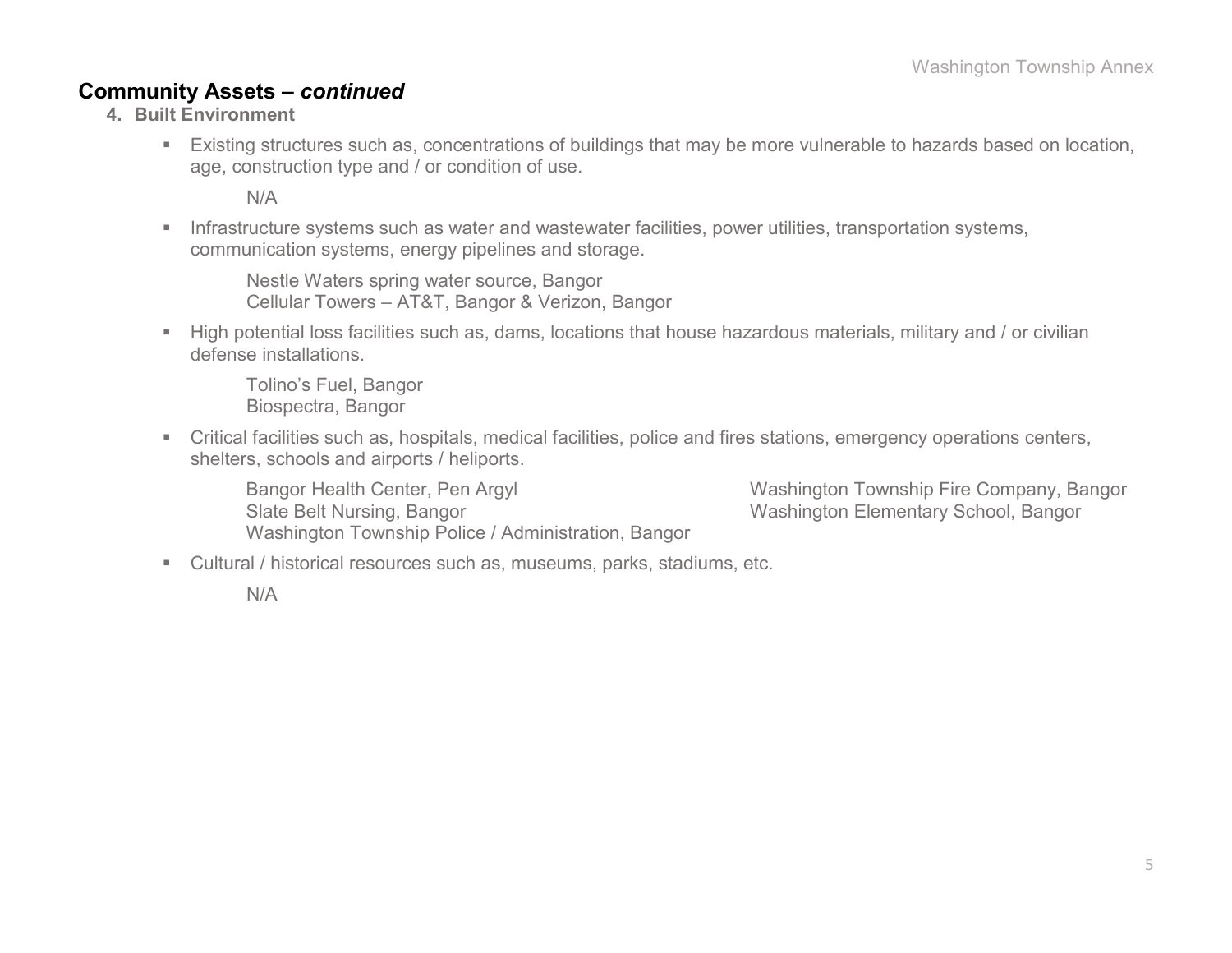#### **Community Assets –** *continued*

- **4. Built Environment**
	- Existing structures such as, concentrations of buildings that may be more vulnerable to hazards based on location, age, construction type and / or condition of use.

N/A

**Infrastructure systems such as water and wastewater facilities, power utilities, transportation systems,** communication systems, energy pipelines and storage.

Nestle Waters spring water source, Bangor Cellular Towers – AT&T, Bangor & Verizon, Bangor

High potential loss facilities such as, dams, locations that house hazardous materials, military and / or civilian defense installations.

Tolino's Fuel, Bangor Biospectra, Bangor

 Critical facilities such as, hospitals, medical facilities, police and fires stations, emergency operations centers, shelters, schools and airports / heliports.

Bangor Health Center, Pen Argyl Washington Township Fire Company, Bangor Slate Belt Nursing, Bangor National State Belt Nursing, Bangor Nashington Elementary School, Bangor Washington Township Police / Administration, Bangor

Cultural / historical resources such as, museums, parks, stadiums, etc.

N/A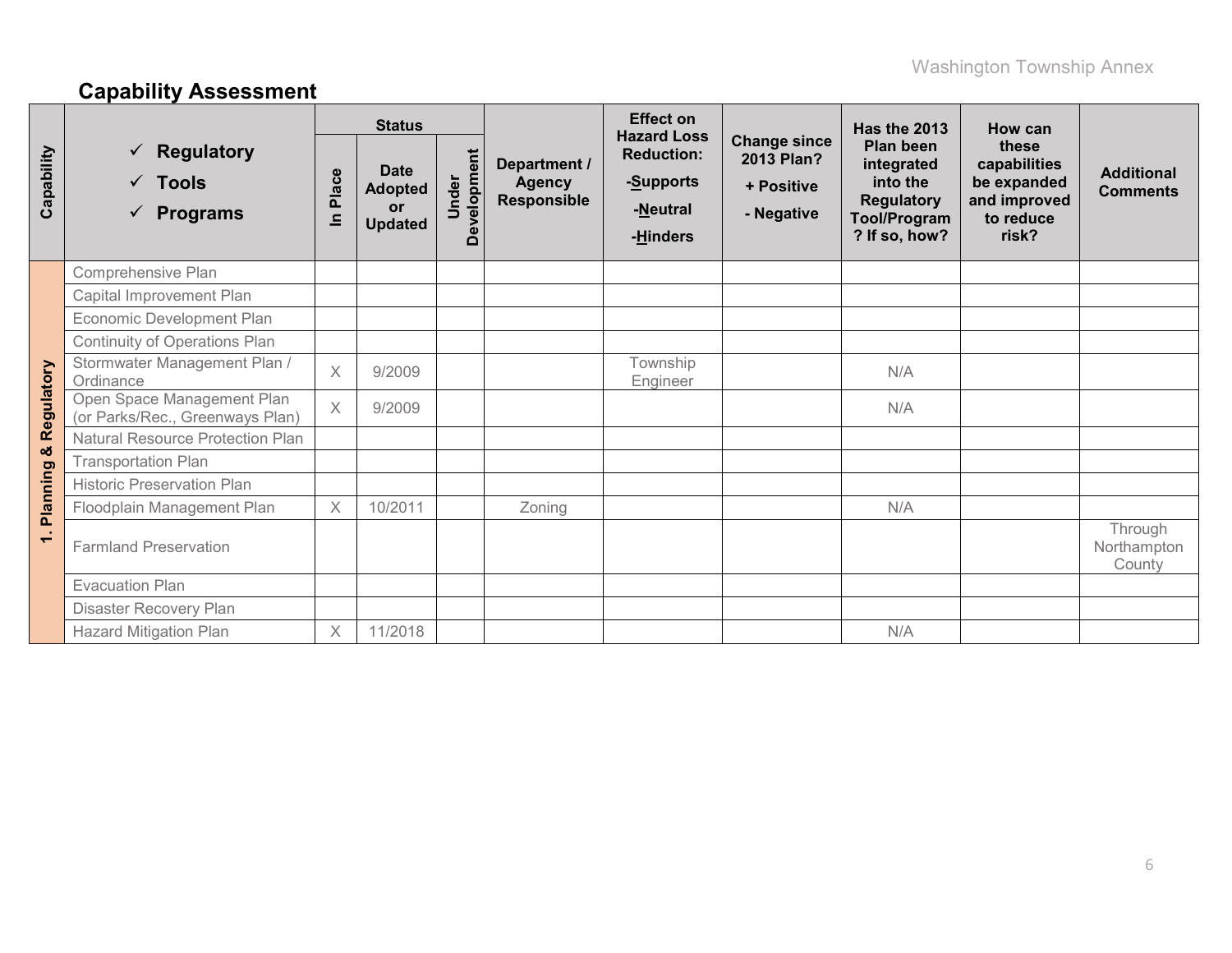# **Capability Assessment**

|                          |                                                                 |                                                                                                              | <b>Status</b> |                             |                                                                                       | <b>Effect on</b>                                              |                                                                                                  | Has the 2013                                                               | How can                              |                                  |
|--------------------------|-----------------------------------------------------------------|--------------------------------------------------------------------------------------------------------------|---------------|-----------------------------|---------------------------------------------------------------------------------------|---------------------------------------------------------------|--------------------------------------------------------------------------------------------------|----------------------------------------------------------------------------|--------------------------------------|----------------------------------|
| Capability               | <b>Regulatory</b><br><b>Tools</b><br>✓<br>$\checkmark$ Programs | Development<br><b>Date</b><br>Place<br>Under<br><b>Agency</b><br><b>Adopted</b><br>or<br>르<br><b>Updated</b> |               | Department /<br>Responsible | <b>Hazard Loss</b><br><b>Reduction:</b><br>- <u>S</u> upports<br>-Neutral<br>-Hinders | <b>Change since</b><br>2013 Plan?<br>+ Positive<br>- Negative | Plan been<br>integrated<br>into the<br><b>Regulatory</b><br><b>Tool/Program</b><br>? If so, how? | these<br>capabilities<br>be expanded<br>and improved<br>to reduce<br>risk? | <b>Additional</b><br><b>Comments</b> |                                  |
|                          | Comprehensive Plan                                              |                                                                                                              |               |                             |                                                                                       |                                                               |                                                                                                  |                                                                            |                                      |                                  |
|                          | Capital Improvement Plan                                        |                                                                                                              |               |                             |                                                                                       |                                                               |                                                                                                  |                                                                            |                                      |                                  |
|                          | Economic Development Plan                                       |                                                                                                              |               |                             |                                                                                       |                                                               |                                                                                                  |                                                                            |                                      |                                  |
|                          | <b>Continuity of Operations Plan</b>                            |                                                                                                              |               |                             |                                                                                       |                                                               |                                                                                                  |                                                                            |                                      |                                  |
|                          | Stormwater Management Plan /<br>Ordinance                       | $\times$                                                                                                     | 9/2009        |                             |                                                                                       | Township<br>Engineer                                          |                                                                                                  | N/A                                                                        |                                      |                                  |
| Regulatory               | Open Space Management Plan<br>(or Parks/Rec., Greenways Plan)   | $\times$                                                                                                     | 9/2009        |                             |                                                                                       |                                                               |                                                                                                  | N/A                                                                        |                                      |                                  |
|                          | Natural Resource Protection Plan                                |                                                                                                              |               |                             |                                                                                       |                                                               |                                                                                                  |                                                                            |                                      |                                  |
| ×                        | <b>Transportation Plan</b>                                      |                                                                                                              |               |                             |                                                                                       |                                                               |                                                                                                  |                                                                            |                                      |                                  |
|                          | <b>Historic Preservation Plan</b>                               |                                                                                                              |               |                             |                                                                                       |                                                               |                                                                                                  |                                                                            |                                      |                                  |
| <b>Planning</b>          | Floodplain Management Plan                                      | $\times$                                                                                                     | 10/2011       |                             | Zoning                                                                                |                                                               |                                                                                                  | N/A                                                                        |                                      |                                  |
| $\overline{\phantom{0}}$ | <b>Farmland Preservation</b>                                    |                                                                                                              |               |                             |                                                                                       |                                                               |                                                                                                  |                                                                            |                                      | Through<br>Northampton<br>County |
|                          | <b>Evacuation Plan</b>                                          |                                                                                                              |               |                             |                                                                                       |                                                               |                                                                                                  |                                                                            |                                      |                                  |
|                          | Disaster Recovery Plan                                          |                                                                                                              |               |                             |                                                                                       |                                                               |                                                                                                  |                                                                            |                                      |                                  |
|                          | <b>Hazard Mitigation Plan</b>                                   | $\mathsf X$                                                                                                  | 11/2018       |                             |                                                                                       |                                                               |                                                                                                  | N/A                                                                        |                                      |                                  |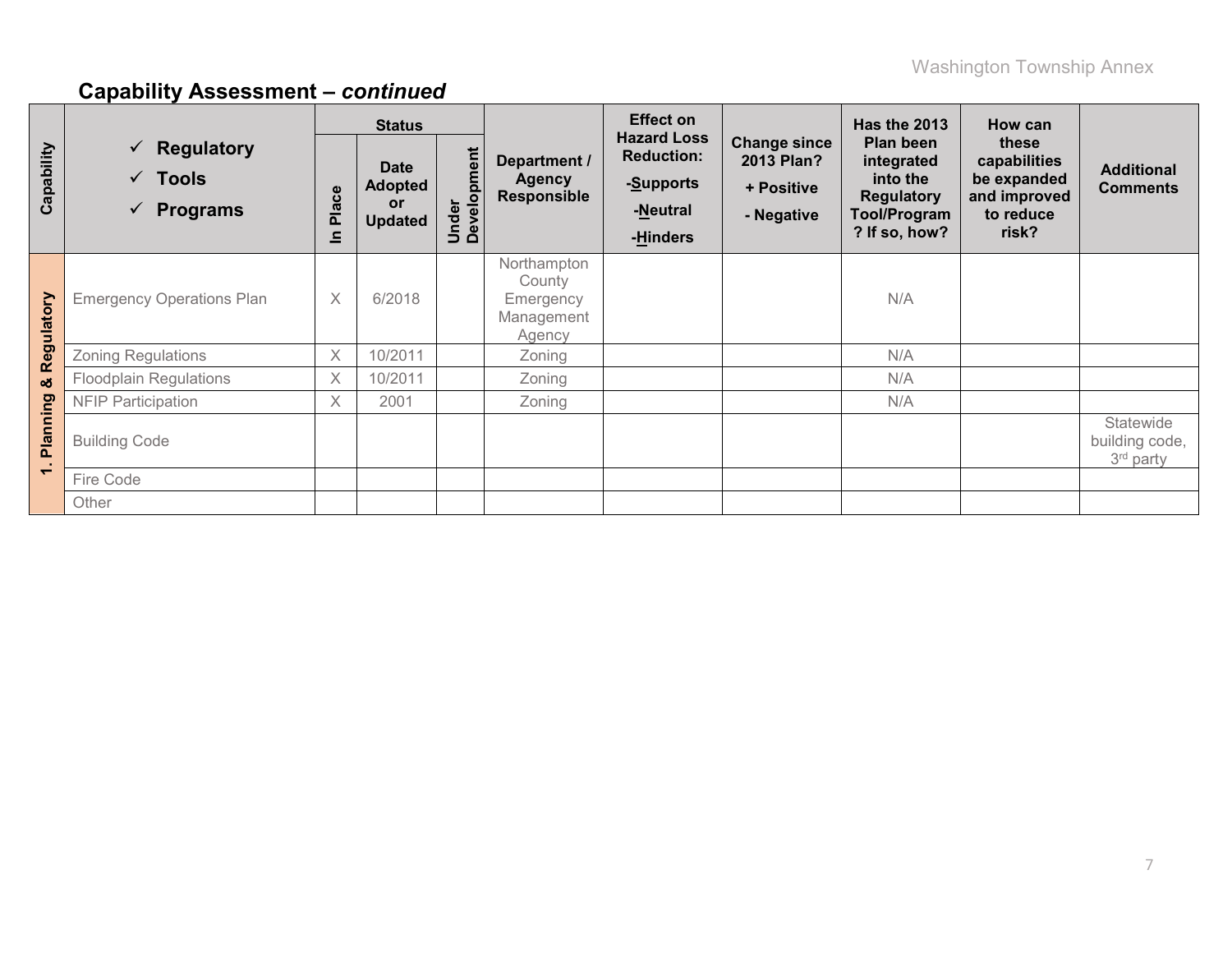|            |                                                                        | <b>Status</b>         |                                                       |                      |                                                            | <b>Effect on</b>                                                             |                                                                      | <b>Has the 2013</b>                                                                              | How can                                                                    |                                          |
|------------|------------------------------------------------------------------------|-----------------------|-------------------------------------------------------|----------------------|------------------------------------------------------------|------------------------------------------------------------------------------|----------------------------------------------------------------------|--------------------------------------------------------------------------------------------------|----------------------------------------------------------------------------|------------------------------------------|
| Capability | $\checkmark$ Regulatory<br>$\checkmark$ Tools<br>$\checkmark$ Programs | Place<br>$\mathbf{a}$ | <b>Date</b><br><b>Adopted</b><br>or<br><b>Updated</b> | Under<br>Development | Department /<br><b>Agency</b><br><b>Responsible</b>        | <b>Hazard Loss</b><br><b>Reduction:</b><br>-Supports<br>-Neutral<br>-Hinders | <b>Change since</b><br><b>2013 Plan?</b><br>+ Positive<br>- Negative | Plan been<br>integrated<br>into the<br><b>Regulatory</b><br><b>Tool/Program</b><br>? If so, how? | these<br>capabilities<br>be expanded<br>and improved<br>to reduce<br>risk? | <b>Additional</b><br><b>Comments</b>     |
| Regulatory | <b>Emergency Operations Plan</b>                                       | $\times$              | 6/2018                                                |                      | Northampton<br>County<br>Emergency<br>Management<br>Agency |                                                                              |                                                                      | N/A                                                                                              |                                                                            |                                          |
|            | <b>Zoning Regulations</b>                                              | X                     | 10/2011                                               |                      | Zoning                                                     |                                                                              |                                                                      | N/A                                                                                              |                                                                            |                                          |
| ఱ          | <b>Floodplain Regulations</b>                                          | X                     | 10/2011                                               |                      | Zoning                                                     |                                                                              |                                                                      | N/A                                                                                              |                                                                            |                                          |
|            | <b>NFIP Participation</b>                                              | $\times$              | 2001                                                  |                      | Zoning                                                     |                                                                              |                                                                      | N/A                                                                                              |                                                                            |                                          |
| Planning   | <b>Building Code</b>                                                   |                       |                                                       |                      |                                                            |                                                                              |                                                                      |                                                                                                  |                                                                            | Statewide<br>building code,<br>3rd party |
| $\div$     | Fire Code                                                              |                       |                                                       |                      |                                                            |                                                                              |                                                                      |                                                                                                  |                                                                            |                                          |
|            | Other                                                                  |                       |                                                       |                      |                                                            |                                                                              |                                                                      |                                                                                                  |                                                                            |                                          |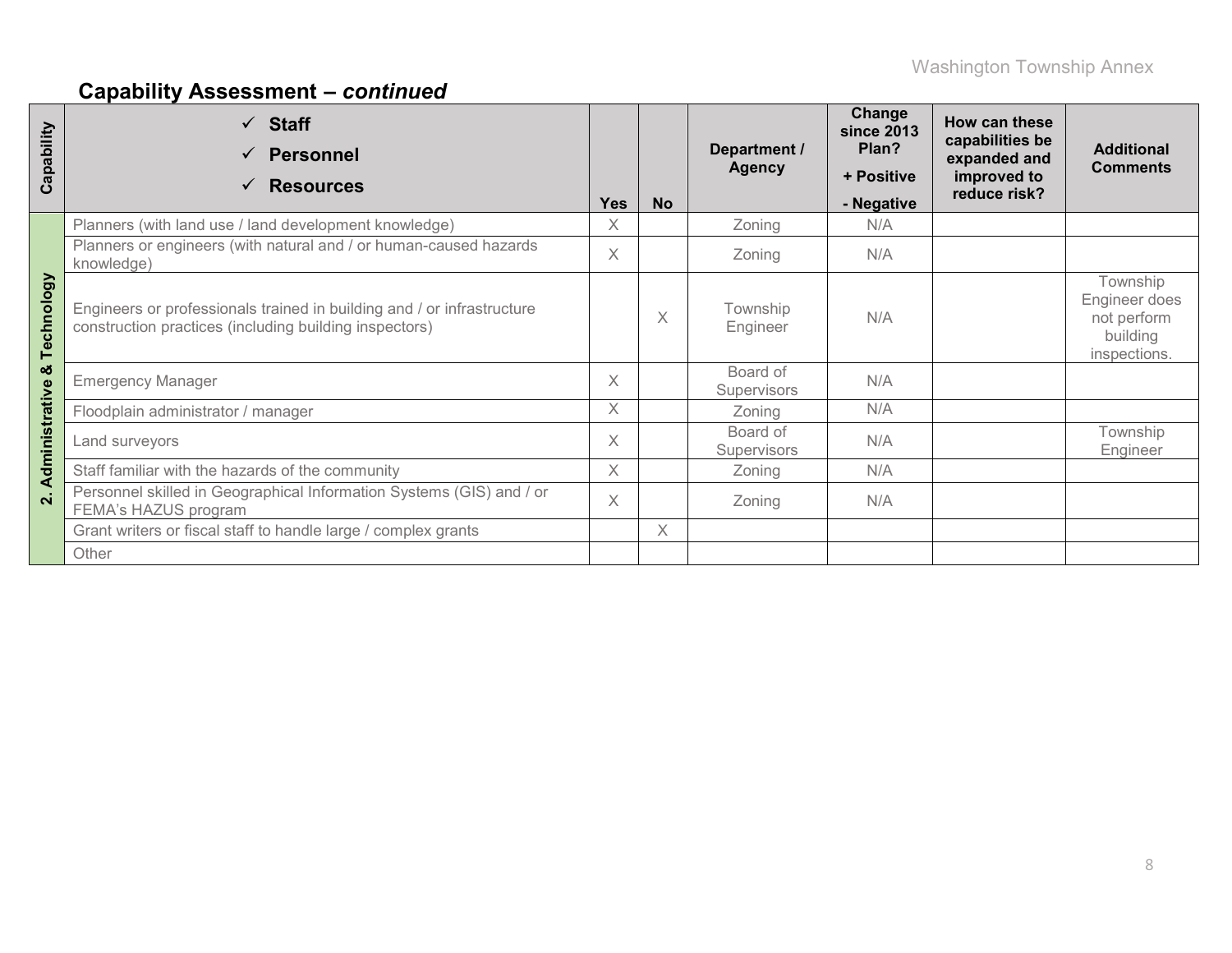| Capability              | $\checkmark$ Staff<br><b>Personnel</b><br><b>Resources</b>                                                                       | <b>Yes</b> | <b>No</b> | Department /<br><b>Agency</b>  | Change<br><b>since 2013</b><br>Plan?<br>+ Positive<br>- Negative | How can these<br>capabilities be<br>expanded and<br>improved to<br>reduce risk? | <b>Additional</b><br><b>Comments</b>                                 |
|-------------------------|----------------------------------------------------------------------------------------------------------------------------------|------------|-----------|--------------------------------|------------------------------------------------------------------|---------------------------------------------------------------------------------|----------------------------------------------------------------------|
|                         | Planners (with land use / land development knowledge)                                                                            | X          |           | Zoning                         | N/A                                                              |                                                                                 |                                                                      |
|                         | Planners or engineers (with natural and / or human-caused hazards<br>knowledge)                                                  | $\times$   |           | Zoning                         | N/A                                                              |                                                                                 |                                                                      |
| Technology              | Engineers or professionals trained in building and / or infrastructure<br>construction practices (including building inspectors) |            | X         | Township<br>Engineer           | N/A                                                              |                                                                                 | Township<br>Engineer does<br>not perform<br>building<br>inspections. |
| ఱ                       | <b>Emergency Manager</b>                                                                                                         | $\times$   |           | Board of<br><b>Supervisors</b> | N/A                                                              |                                                                                 |                                                                      |
|                         | Floodplain administrator / manager                                                                                               | X          |           | Zoning                         | N/A                                                              |                                                                                 |                                                                      |
| Administrative          | Land surveyors                                                                                                                   | $\times$   |           | Board of<br>Supervisors        | N/A                                                              |                                                                                 | Township<br>Engineer                                                 |
|                         | Staff familiar with the hazards of the community                                                                                 | X          |           | Zoning                         | N/A                                                              |                                                                                 |                                                                      |
| $\overline{\mathbf{v}}$ | Personnel skilled in Geographical Information Systems (GIS) and / or<br>FEMA's HAZUS program                                     |            |           | Zoning                         | N/A                                                              |                                                                                 |                                                                      |
|                         | Grant writers or fiscal staff to handle large / complex grants                                                                   |            | X         |                                |                                                                  |                                                                                 |                                                                      |
|                         | Other                                                                                                                            |            |           |                                |                                                                  |                                                                                 |                                                                      |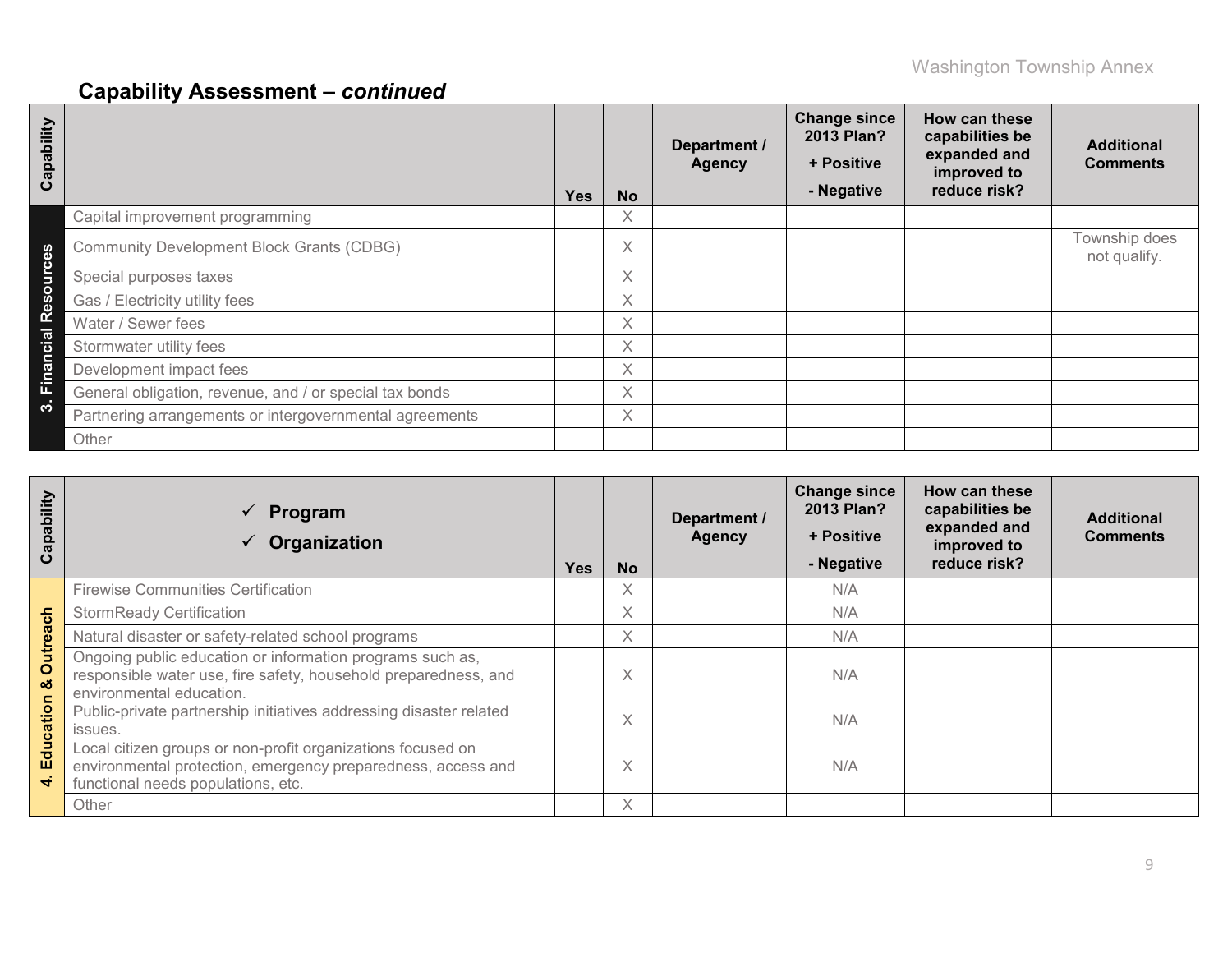| Capability            |                                                         | <b>Yes</b> | <b>No</b> | Department /<br><b>Agency</b> | <b>Change since</b><br>2013 Plan?<br>+ Positive<br>- Negative | How can these<br>capabilities be<br>expanded and<br>improved to<br>reduce risk? | <b>Additional</b><br><b>Comments</b> |
|-----------------------|---------------------------------------------------------|------------|-----------|-------------------------------|---------------------------------------------------------------|---------------------------------------------------------------------------------|--------------------------------------|
|                       | Capital improvement programming                         |            | X         |                               |                                                               |                                                                                 |                                      |
| n<br>o                | <b>Community Development Block Grants (CDBG)</b>        |            | $\times$  |                               |                                                               |                                                                                 | Township does<br>not qualify.        |
| Б                     | Special purposes taxes                                  |            | $\times$  |                               |                                                               |                                                                                 |                                      |
| $\boldsymbol{\omega}$ | Gas / Electricity utility fees                          |            | X         |                               |                                                               |                                                                                 |                                      |
| œ                     | Water / Sewer fees                                      |            | X         |                               |                                                               |                                                                                 |                                      |
| cial                  | Stormwater utility fees                                 |            | X.        |                               |                                                               |                                                                                 |                                      |
| ma                    | Development impact fees                                 |            | Χ         |                               |                                                               |                                                                                 |                                      |
| 置                     | General obligation, revenue, and / or special tax bonds |            | Χ         |                               |                                                               |                                                                                 |                                      |
| ∾                     | Partnering arrangements or intergovernmental agreements |            | X         |                               |                                                               |                                                                                 |                                      |
|                       | Other                                                   |            |           |                               |                                                               |                                                                                 |                                      |

| Capability    | Program<br>$\checkmark$<br>Organization                                                                                                                           | <b>Yes</b> | <b>No</b> | Department /<br><b>Agency</b> | <b>Change since</b><br>2013 Plan?<br>+ Positive<br>- Negative | How can these<br>capabilities be<br>expanded and<br>improved to<br>reduce risk? | <b>Additional</b><br><b>Comments</b> |
|---------------|-------------------------------------------------------------------------------------------------------------------------------------------------------------------|------------|-----------|-------------------------------|---------------------------------------------------------------|---------------------------------------------------------------------------------|--------------------------------------|
|               | <b>Firewise Communities Certification</b>                                                                                                                         |            | X         |                               | N/A                                                           |                                                                                 |                                      |
|               | <b>StormReady Certification</b>                                                                                                                                   |            | X         |                               | N/A                                                           |                                                                                 |                                      |
|               | Natural disaster or safety-related school programs                                                                                                                |            | Χ         |                               | N/A                                                           |                                                                                 |                                      |
| Outreach<br>ಯ | Ongoing public education or information programs such as,<br>responsible water use, fire safety, household preparedness, and<br>environmental education.          |            | $\times$  |                               | N/A                                                           |                                                                                 |                                      |
| Education     | Public-private partnership initiatives addressing disaster related<br>issues.                                                                                     |            | $\times$  |                               | N/A                                                           |                                                                                 |                                      |
|               | Local citizen groups or non-profit organizations focused on<br>environmental protection, emergency preparedness, access and<br>functional needs populations, etc. |            | X         |                               | N/A                                                           |                                                                                 |                                      |
|               | Other                                                                                                                                                             |            | X         |                               |                                                               |                                                                                 |                                      |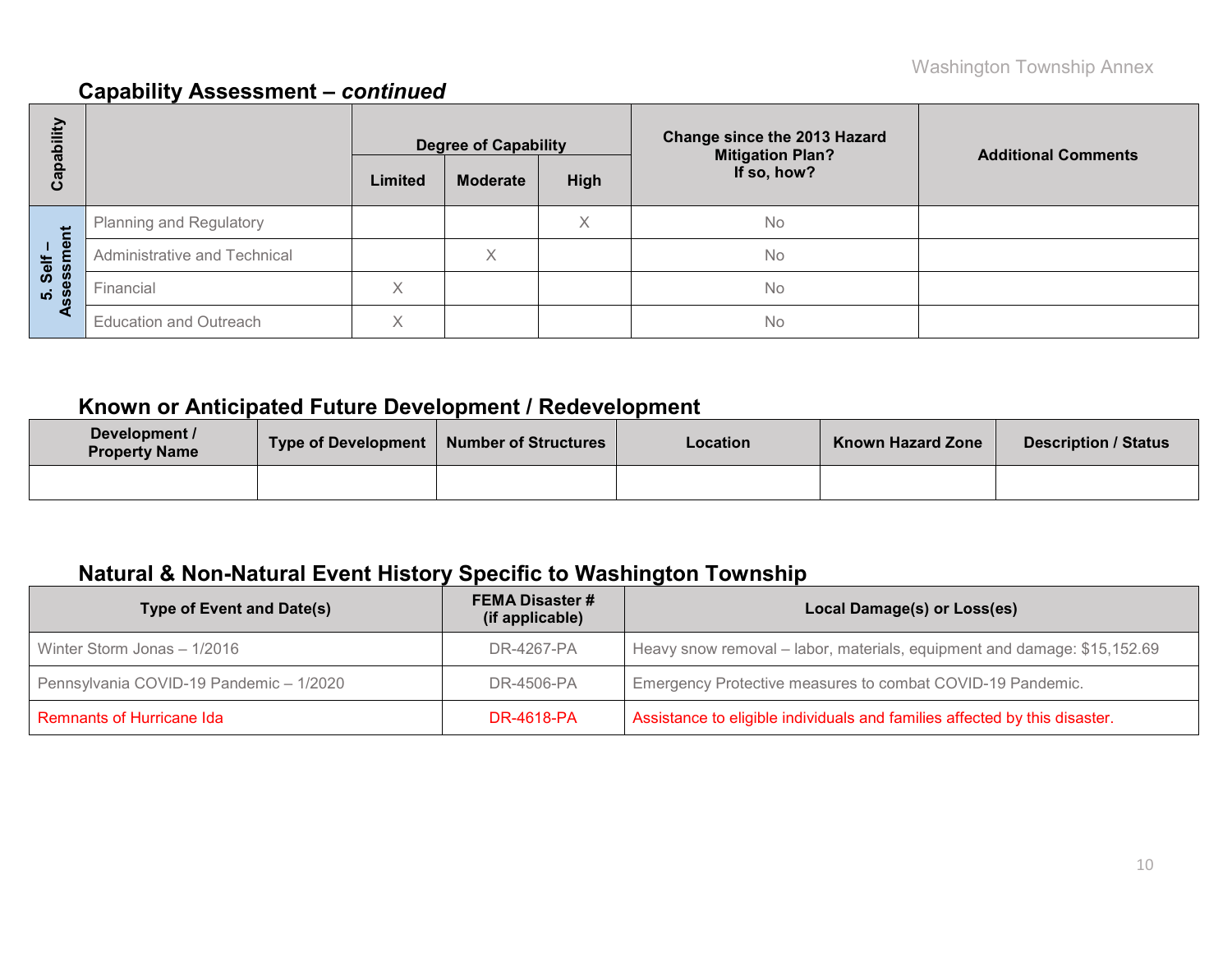| E<br>هَ           |                               |              | <b>Degree of Capability</b> |      | <b>Change since the 2013 Hazard</b><br><b>Mitigation Plan?</b> | <b>Additional Comments</b> |
|-------------------|-------------------------------|--------------|-----------------------------|------|----------------------------------------------------------------|----------------------------|
| <u>թզ</u><br>ပိ   |                               | Limited      | <b>Moderate</b>             | High | If so, how?                                                    |                            |
|                   | Planning and Regulatory       |              |                             | Χ    | <b>No</b>                                                      |                            |
| Self –<br>essment | Administrative and Technical  |              | Χ                           |      | <b>No</b>                                                      |                            |
| <u>ທີ່ 8</u>      | Financial                     | Χ            |                             |      | No                                                             |                            |
| ⋖                 | <b>Education and Outreach</b> | $\checkmark$ |                             |      | <b>No</b>                                                      |                            |

### **Known or Anticipated Future Development / Redevelopment**

| Development /<br><b>Property Name</b> | <b>Type of Development</b> | Number of Structures | Location | <b>Known Hazard Zone</b> | Description / Status |
|---------------------------------------|----------------------------|----------------------|----------|--------------------------|----------------------|
|                                       |                            |                      |          |                          |                      |

### **Natural & Non-Natural Event History Specific to Washington Township**

| Type of Event and Date(s)               | <b>FEMA Disaster #</b><br>(if applicable) | Local Damage(s) or Loss(es)                                                |  |  |  |  |
|-----------------------------------------|-------------------------------------------|----------------------------------------------------------------------------|--|--|--|--|
| Winter Storm Jonas - 1/2016             | DR-4267-PA                                | Heavy snow removal – labor, materials, equipment and damage: \$15,152.69   |  |  |  |  |
| Pennsylvania COVID-19 Pandemic - 1/2020 | DR-4506-PA                                | Emergency Protective measures to combat COVID-19 Pandemic.                 |  |  |  |  |
| Remnants of Hurricane Ida               | <b>DR-4618-PA</b>                         | Assistance to eligible individuals and families affected by this disaster. |  |  |  |  |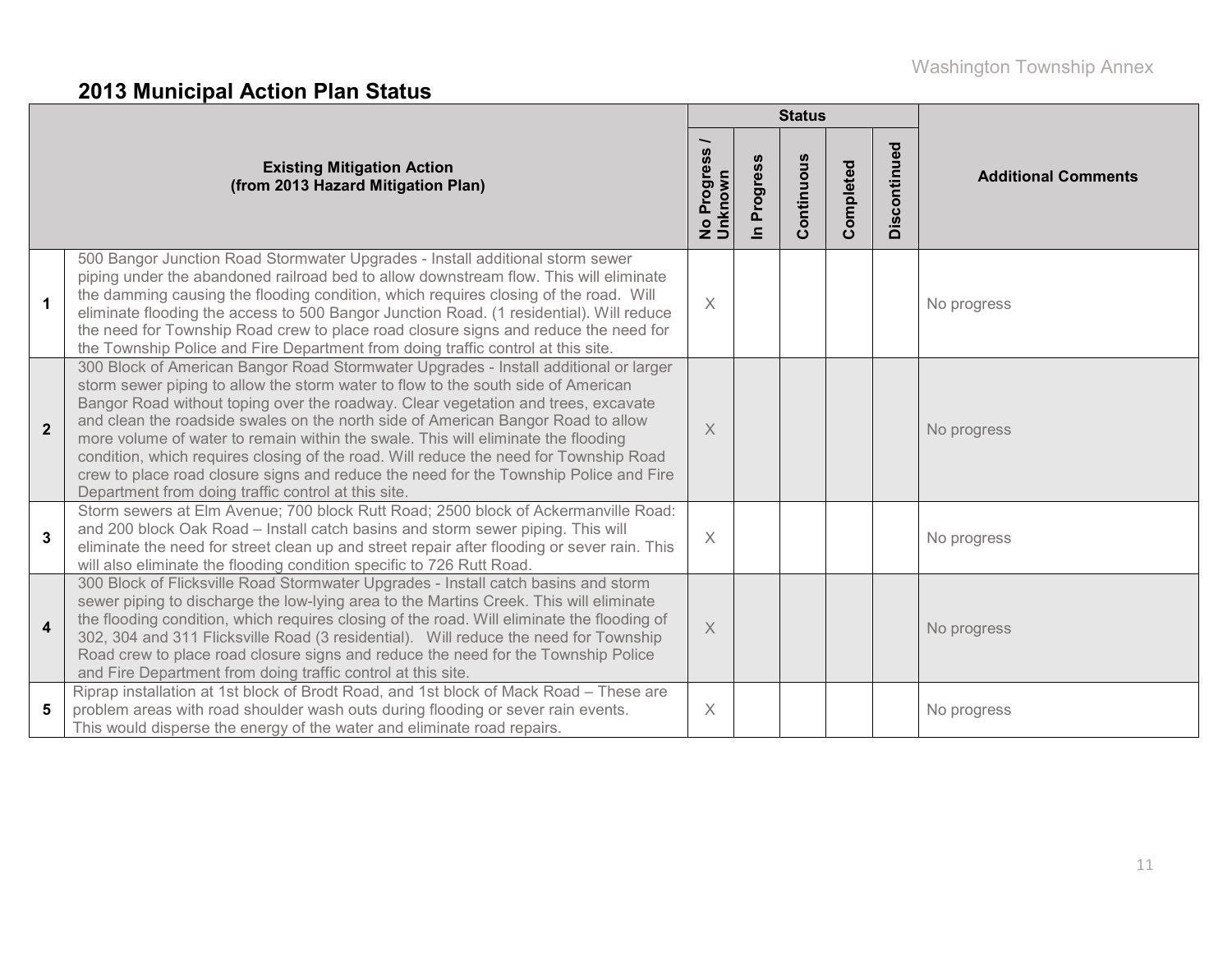# **2013 Municipal Action Plan Status**

|                         |                                                                                                                                                                                                                                                                                                                                                                                                                                                                                                                                                                                                                                                                                  |                                  |                            | <b>Status</b> |           |              |                            |  |
|-------------------------|----------------------------------------------------------------------------------------------------------------------------------------------------------------------------------------------------------------------------------------------------------------------------------------------------------------------------------------------------------------------------------------------------------------------------------------------------------------------------------------------------------------------------------------------------------------------------------------------------------------------------------------------------------------------------------|----------------------------------|----------------------------|---------------|-----------|--------------|----------------------------|--|
|                         | <b>Existing Mitigation Action</b><br>(from 2013 Hazard Mitigation Plan)                                                                                                                                                                                                                                                                                                                                                                                                                                                                                                                                                                                                          | Progress<br>No Progre<br>Unknown | Progress<br>$\blacksquare$ | Continuous    | Completed | Discontinued | <b>Additional Comments</b> |  |
| $\mathbf{1}$            | 500 Bangor Junction Road Stormwater Upgrades - Install additional storm sewer<br>piping under the abandoned railroad bed to allow downstream flow. This will eliminate<br>the damming causing the flooding condition, which requires closing of the road. Will<br>eliminate flooding the access to 500 Bangor Junction Road. (1 residential). Will reduce<br>the need for Township Road crew to place road closure signs and reduce the need for<br>the Township Police and Fire Department from doing traffic control at this site.                                                                                                                                             | $\times$                         |                            |               |           |              | No progress                |  |
| $\overline{2}$          | 300 Block of American Bangor Road Stormwater Upgrades - Install additional or larger<br>storm sewer piping to allow the storm water to flow to the south side of American<br>Bangor Road without toping over the roadway. Clear vegetation and trees, excavate<br>and clean the roadside swales on the north side of American Bangor Road to allow<br>more volume of water to remain within the swale. This will eliminate the flooding<br>condition, which requires closing of the road. Will reduce the need for Township Road<br>crew to place road closure signs and reduce the need for the Township Police and Fire<br>Department from doing traffic control at this site. | $\times$                         |                            |               |           |              | No progress                |  |
| $\overline{3}$          | Storm sewers at Elm Avenue; 700 block Rutt Road; 2500 block of Ackermanville Road:<br>and 200 block Oak Road – Install catch basins and storm sewer piping. This will<br>eliminate the need for street clean up and street repair after flooding or sever rain. This<br>will also eliminate the flooding condition specific to 726 Rutt Road.                                                                                                                                                                                                                                                                                                                                    | $\times$                         |                            |               |           |              | No progress                |  |
| $\overline{\mathbf{4}}$ | 300 Block of Flicksville Road Stormwater Upgrades - Install catch basins and storm<br>sewer piping to discharge the low-lying area to the Martins Creek. This will eliminate<br>the flooding condition, which requires closing of the road. Will eliminate the flooding of<br>302, 304 and 311 Flicksville Road (3 residential). Will reduce the need for Township<br>Road crew to place road closure signs and reduce the need for the Township Police<br>and Fire Department from doing traffic control at this site.                                                                                                                                                          | $\times$                         |                            |               |           |              | No progress                |  |
| 5                       | Riprap installation at 1st block of Brodt Road, and 1st block of Mack Road - These are<br>problem areas with road shoulder wash outs during flooding or sever rain events.<br>This would disperse the energy of the water and eliminate road repairs.                                                                                                                                                                                                                                                                                                                                                                                                                            | X                                |                            |               |           |              | No progress                |  |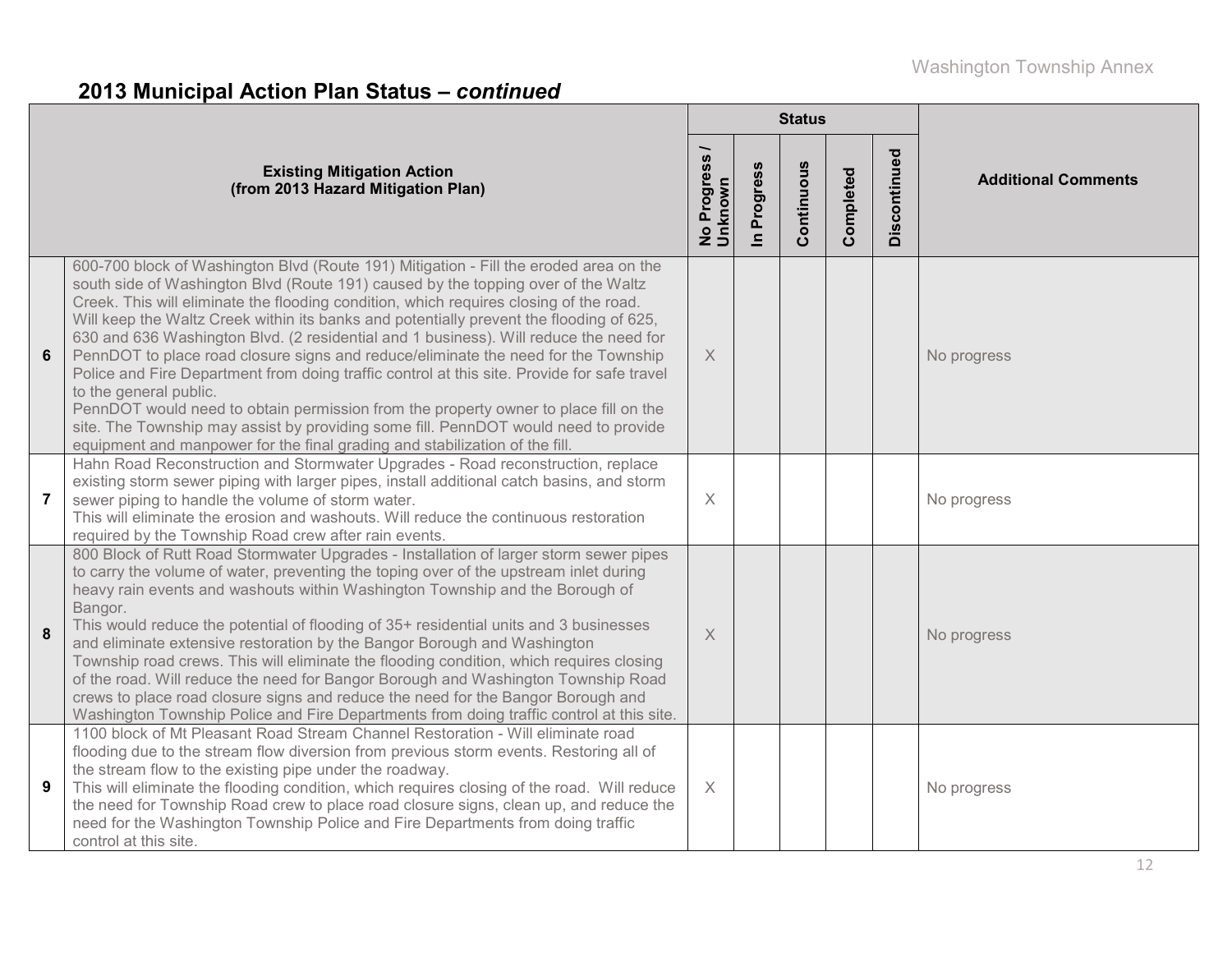# **2013 Municipal Action Plan Status –** *continued*

|                |                                                                                                                                                                                                                                                                                                                                                                                                                                                                                                                                                                                                                                                                                                                                                                                                                                                                                                                                       |                          |                      | <b>Status</b> |           |              |                            |  |
|----------------|---------------------------------------------------------------------------------------------------------------------------------------------------------------------------------------------------------------------------------------------------------------------------------------------------------------------------------------------------------------------------------------------------------------------------------------------------------------------------------------------------------------------------------------------------------------------------------------------------------------------------------------------------------------------------------------------------------------------------------------------------------------------------------------------------------------------------------------------------------------------------------------------------------------------------------------|--------------------------|----------------------|---------------|-----------|--------------|----------------------------|--|
|                | <b>Existing Mitigation Action</b><br>(from 2013 Hazard Mitigation Plan)                                                                                                                                                                                                                                                                                                                                                                                                                                                                                                                                                                                                                                                                                                                                                                                                                                                               | No Progress /<br>Unknown | Progress<br>$\equiv$ | Continuous    | Completed | Discontinued | <b>Additional Comments</b> |  |
| $6\phantom{1}$ | 600-700 block of Washington Blvd (Route 191) Mitigation - Fill the eroded area on the<br>south side of Washington Blvd (Route 191) caused by the topping over of the Waltz<br>Creek. This will eliminate the flooding condition, which requires closing of the road.<br>Will keep the Waltz Creek within its banks and potentially prevent the flooding of 625,<br>630 and 636 Washington Blvd. (2 residential and 1 business). Will reduce the need for<br>PennDOT to place road closure signs and reduce/eliminate the need for the Township<br>Police and Fire Department from doing traffic control at this site. Provide for safe travel<br>to the general public.<br>PennDOT would need to obtain permission from the property owner to place fill on the<br>site. The Township may assist by providing some fill. PennDOT would need to provide<br>equipment and manpower for the final grading and stabilization of the fill. | X                        |                      |               |           |              | No progress                |  |
| $\overline{7}$ | Hahn Road Reconstruction and Stormwater Upgrades - Road reconstruction, replace<br>existing storm sewer piping with larger pipes, install additional catch basins, and storm<br>sewer piping to handle the volume of storm water.<br>This will eliminate the erosion and washouts. Will reduce the continuous restoration<br>required by the Township Road crew after rain events.                                                                                                                                                                                                                                                                                                                                                                                                                                                                                                                                                    | $\times$                 |                      |               |           |              | No progress                |  |
| 8              | 800 Block of Rutt Road Stormwater Upgrades - Installation of larger storm sewer pipes<br>to carry the volume of water, preventing the toping over of the upstream inlet during<br>heavy rain events and washouts within Washington Township and the Borough of<br>Bangor.<br>This would reduce the potential of flooding of 35+ residential units and 3 businesses<br>and eliminate extensive restoration by the Bangor Borough and Washington<br>Township road crews. This will eliminate the flooding condition, which requires closing<br>of the road. Will reduce the need for Bangor Borough and Washington Township Road<br>crews to place road closure signs and reduce the need for the Bangor Borough and<br>Washington Township Police and Fire Departments from doing traffic control at this site.                                                                                                                        | $\times$                 |                      |               |           |              | No progress                |  |
| 9              | 1100 block of Mt Pleasant Road Stream Channel Restoration - Will eliminate road<br>flooding due to the stream flow diversion from previous storm events. Restoring all of<br>the stream flow to the existing pipe under the roadway.<br>This will eliminate the flooding condition, which requires closing of the road. Will reduce<br>the need for Township Road crew to place road closure signs, clean up, and reduce the<br>need for the Washington Township Police and Fire Departments from doing traffic<br>control at this site.                                                                                                                                                                                                                                                                                                                                                                                              | $\times$                 |                      |               |           |              | No progress                |  |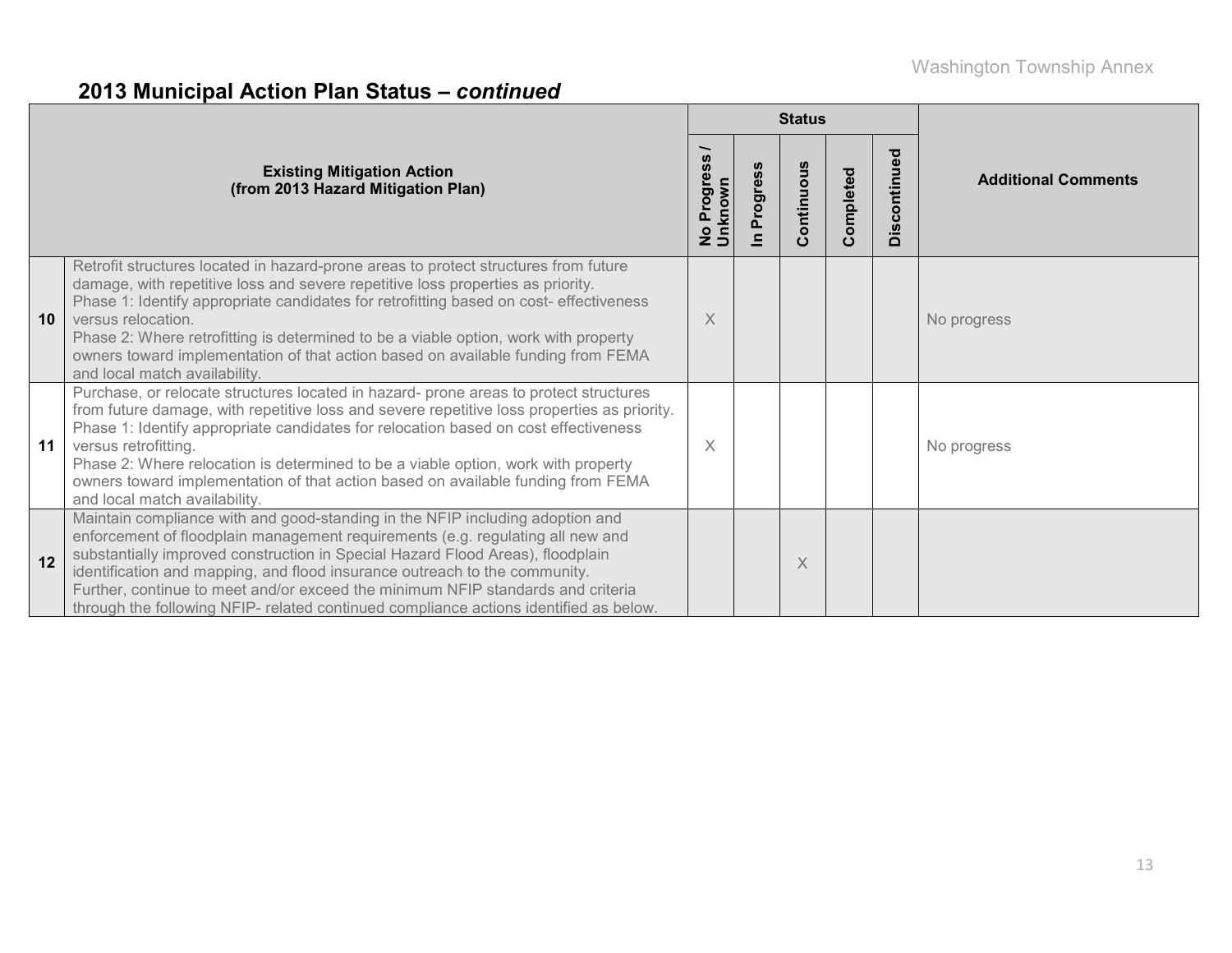# **2013 Municipal Action Plan Status –** *continued*

|    |                                                                                                                                                                                                                                                                                                                                                                                                                                                                                                               |                            |             | <b>Status</b> |           |              |                            |
|----|---------------------------------------------------------------------------------------------------------------------------------------------------------------------------------------------------------------------------------------------------------------------------------------------------------------------------------------------------------------------------------------------------------------------------------------------------------------------------------------------------------------|----------------------------|-------------|---------------|-----------|--------------|----------------------------|
|    | <b>Existing Mitigation Action</b><br>(from 2013 Hazard Mitigation Plan)                                                                                                                                                                                                                                                                                                                                                                                                                                       | ၜႍ<br>No Progre<br>Unknown | rogres<br>൨ | Continuous    | Completed | Discontinued | <b>Additional Comments</b> |
| 10 | Retrofit structures located in hazard-prone areas to protect structures from future<br>damage, with repetitive loss and severe repetitive loss properties as priority.<br>Phase 1: Identify appropriate candidates for retrofitting based on cost- effectiveness<br>versus relocation.<br>Phase 2: Where retrofitting is determined to be a viable option, work with property<br>owners toward implementation of that action based on available funding from FEMA<br>and local match availability.            | X                          |             |               |           |              | No progress                |
| 11 | Purchase, or relocate structures located in hazard- prone areas to protect structures<br>from future damage, with repetitive loss and severe repetitive loss properties as priority.<br>Phase 1: Identify appropriate candidates for relocation based on cost effectiveness<br>versus retrofitting.<br>Phase 2: Where relocation is determined to be a viable option, work with property<br>owners toward implementation of that action based on available funding from FEMA<br>and local match availability. | $\times$                   |             |               |           |              | No progress                |
| 12 | Maintain compliance with and good-standing in the NFIP including adoption and<br>enforcement of floodplain management requirements (e.g. regulating all new and<br>substantially improved construction in Special Hazard Flood Areas), floodplain<br>identification and mapping, and flood insurance outreach to the community.<br>Further, continue to meet and/or exceed the minimum NFIP standards and criteria<br>through the following NFIP- related continued compliance actions identified as below.   |                            |             | $\times$      |           |              |                            |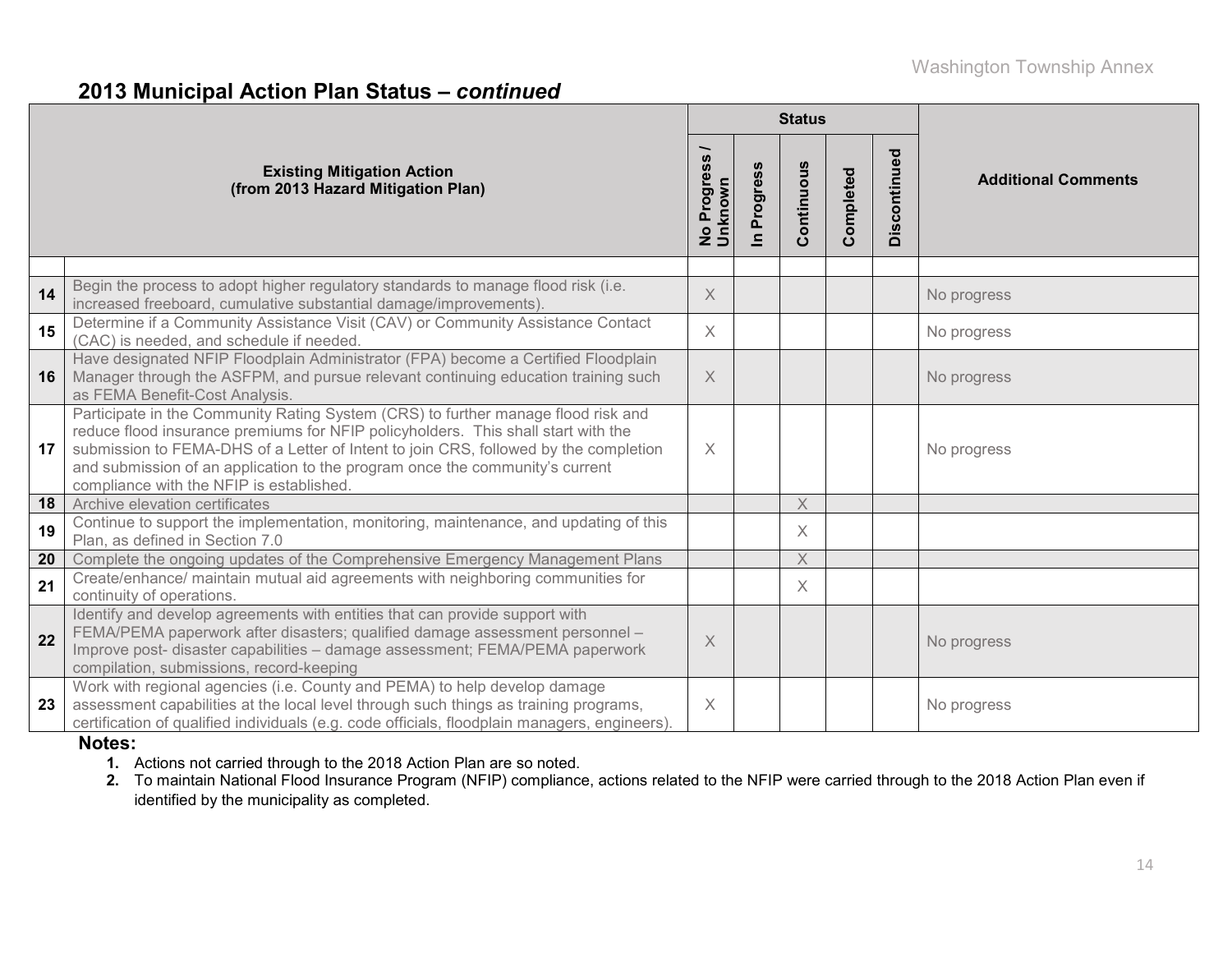#### **2013 Municipal Action Plan Status –** *continued*

|    |                                                                                                                                                                                                                                                                                                                                                                                           |                                          |                      | <b>Status</b> |           |              |                            |
|----|-------------------------------------------------------------------------------------------------------------------------------------------------------------------------------------------------------------------------------------------------------------------------------------------------------------------------------------------------------------------------------------------|------------------------------------------|----------------------|---------------|-----------|--------------|----------------------------|
|    | <b>Existing Mitigation Action</b><br>(from 2013 Hazard Mitigation Plan)                                                                                                                                                                                                                                                                                                                   | Progress<br>No Progre<br>Unk <u>nown</u> | Progress<br>$\equiv$ | Continuous    | Completed | Discontinued | <b>Additional Comments</b> |
|    |                                                                                                                                                                                                                                                                                                                                                                                           |                                          |                      |               |           |              |                            |
| 14 | Begin the process to adopt higher regulatory standards to manage flood risk (i.e.<br>increased freeboard, cumulative substantial damage/improvements).                                                                                                                                                                                                                                    | $\times$                                 |                      |               |           |              | No progress                |
| 15 | Determine if a Community Assistance Visit (CAV) or Community Assistance Contact<br>(CAC) is needed, and schedule if needed.                                                                                                                                                                                                                                                               | $\times$                                 |                      |               |           |              | No progress                |
| 16 | Have designated NFIP Floodplain Administrator (FPA) become a Certified Floodplain<br>Manager through the ASFPM, and pursue relevant continuing education training such<br>as FEMA Benefit-Cost Analysis.                                                                                                                                                                                  | $\times$                                 |                      |               |           |              | No progress                |
| 17 | Participate in the Community Rating System (CRS) to further manage flood risk and<br>reduce flood insurance premiums for NFIP policyholders. This shall start with the<br>submission to FEMA-DHS of a Letter of Intent to join CRS, followed by the completion<br>and submission of an application to the program once the community's current<br>compliance with the NFIP is established | $\times$                                 |                      |               |           |              | No progress                |
| 18 | Archive elevation certificates                                                                                                                                                                                                                                                                                                                                                            |                                          |                      | $\times$      |           |              |                            |
| 19 | Continue to support the implementation, monitoring, maintenance, and updating of this<br>Plan, as defined in Section 7.0                                                                                                                                                                                                                                                                  |                                          |                      | X             |           |              |                            |
| 20 | Complete the ongoing updates of the Comprehensive Emergency Management Plans                                                                                                                                                                                                                                                                                                              |                                          |                      | $\chi$        |           |              |                            |
| 21 | Create/enhance/ maintain mutual aid agreements with neighboring communities for<br>continuity of operations.                                                                                                                                                                                                                                                                              |                                          |                      | X             |           |              |                            |
| 22 | Identify and develop agreements with entities that can provide support with<br>FEMA/PEMA paperwork after disasters; qualified damage assessment personnel -<br>Improve post- disaster capabilities - damage assessment; FEMA/PEMA paperwork<br>compilation, submissions, record-keeping                                                                                                   | $\times$                                 |                      |               |           |              | No progress                |
| 23 | Work with regional agencies (i.e. County and PEMA) to help develop damage<br>assessment capabilities at the local level through such things as training programs,<br>certification of qualified individuals (e.g. code officials, floodplain managers, engineers).                                                                                                                        | $\times$                                 |                      |               |           |              | No progress                |

#### **Notes:**

**1.** Actions not carried through to the 2018 Action Plan are so noted.

**2.** To maintain National Flood Insurance Program (NFIP) compliance, actions related to the NFIP were carried through to the 2018 Action Plan even if identified by the municipality as completed.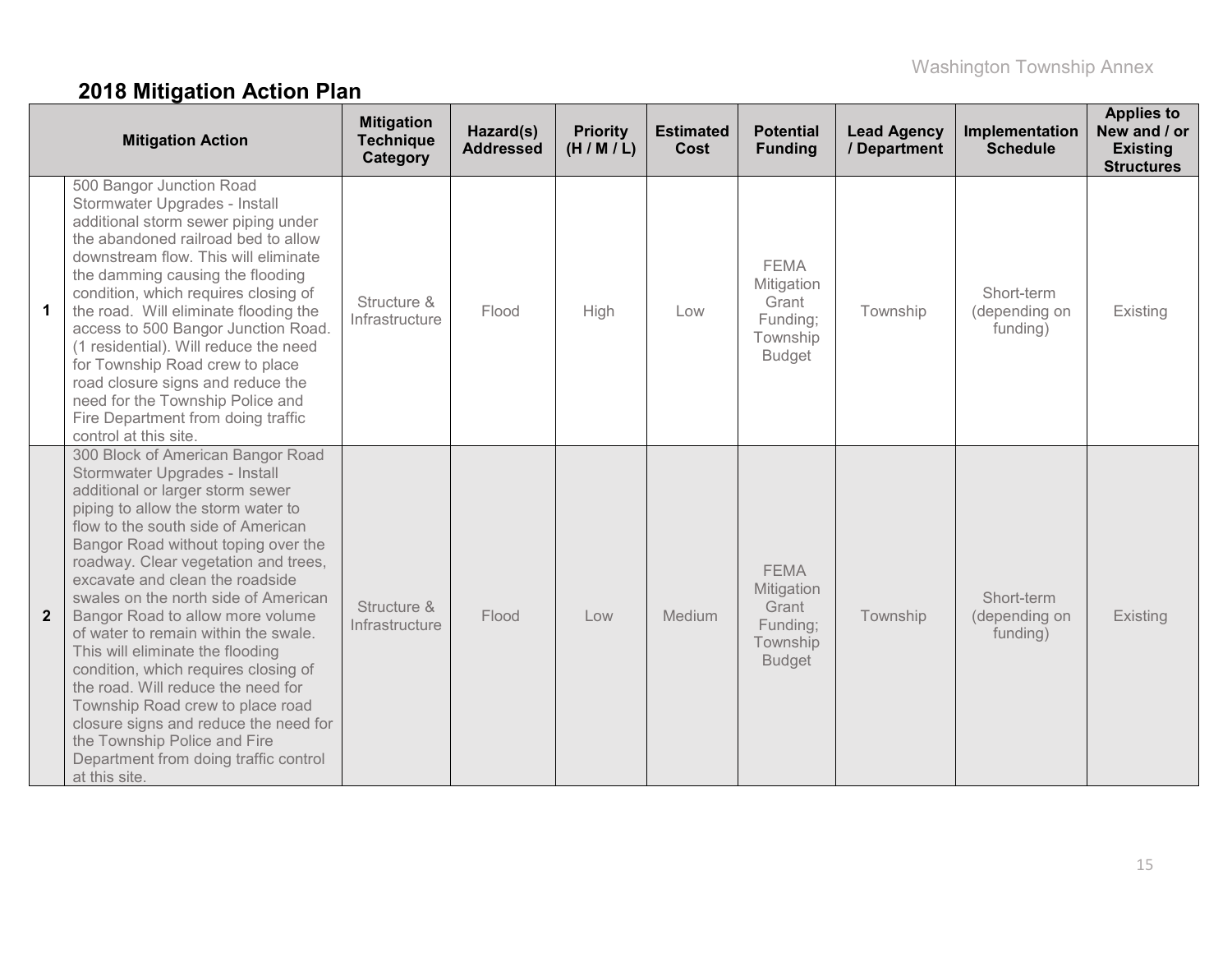# **2018 Mitigation Action Plan**

|                | <b>Mitigation Action</b>                                                                                                                                                                                                                                                                                                                                                                                                                                                                                                                                                                                                                                                                                          | <b>Mitigation</b><br><b>Technique</b><br>Category | Hazard(s)<br><b>Addressed</b> | <b>Priority</b><br>(H/M/L) | <b>Estimated</b><br>Cost | <b>Potential</b><br><b>Funding</b>                                          | <b>Lead Agency</b><br>/ Department | Implementation<br><b>Schedule</b>       | <b>Applies to</b><br>New and / or<br><b>Existing</b><br><b>Structures</b> |
|----------------|-------------------------------------------------------------------------------------------------------------------------------------------------------------------------------------------------------------------------------------------------------------------------------------------------------------------------------------------------------------------------------------------------------------------------------------------------------------------------------------------------------------------------------------------------------------------------------------------------------------------------------------------------------------------------------------------------------------------|---------------------------------------------------|-------------------------------|----------------------------|--------------------------|-----------------------------------------------------------------------------|------------------------------------|-----------------------------------------|---------------------------------------------------------------------------|
| 1              | 500 Bangor Junction Road<br>Stormwater Upgrades - Install<br>additional storm sewer piping under<br>the abandoned railroad bed to allow<br>downstream flow. This will eliminate<br>the damming causing the flooding<br>condition, which requires closing of<br>the road. Will eliminate flooding the<br>access to 500 Bangor Junction Road.<br>(1 residential). Will reduce the need<br>for Township Road crew to place<br>road closure signs and reduce the<br>need for the Township Police and<br>Fire Department from doing traffic<br>control at this site.                                                                                                                                                   | Structure &<br>Infrastructure                     | Flood                         | High                       | Low                      | <b>FEMA</b><br>Mitigation<br>Grant<br>Funding;<br>Township<br><b>Budget</b> | Township                           | Short-term<br>(depending on<br>funding) | Existing                                                                  |
| $\overline{2}$ | 300 Block of American Bangor Road<br>Stormwater Upgrades - Install<br>additional or larger storm sewer<br>piping to allow the storm water to<br>flow to the south side of American<br>Bangor Road without toping over the<br>roadway. Clear vegetation and trees,<br>excavate and clean the roadside<br>swales on the north side of American<br>Bangor Road to allow more volume<br>of water to remain within the swale.<br>This will eliminate the flooding<br>condition, which requires closing of<br>the road. Will reduce the need for<br>Township Road crew to place road<br>closure signs and reduce the need for<br>the Township Police and Fire<br>Department from doing traffic control<br>at this site. | Structure &<br>Infrastructure                     | Flood                         | Low                        | Medium                   | <b>FEMA</b><br>Mitigation<br>Grant<br>Funding;<br>Township<br><b>Budget</b> | Township                           | Short-term<br>(depending on<br>funding) | Existing                                                                  |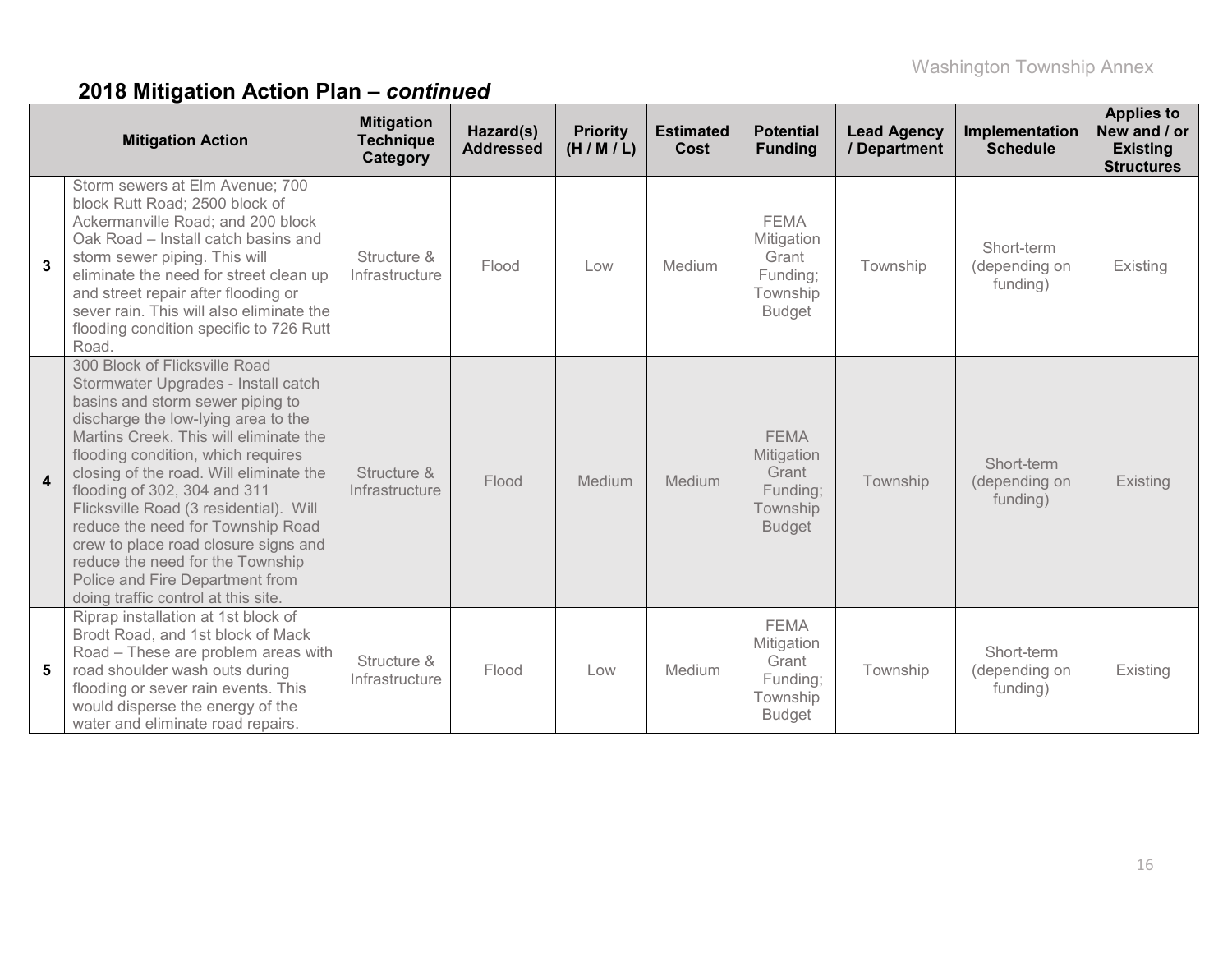|                | <b>Mitigation Action</b>                                                                                                                                                                                                                                                                                                                                                                                                                                                                                                                        | <b>Mitigation</b><br><b>Technique</b><br>Category | Hazard(s)<br><b>Addressed</b> | <b>Priority</b><br>(H/M/L) | <b>Estimated</b><br>Cost | <b>Potential</b><br><b>Funding</b>                                          | <b>Lead Agency</b><br>/ Department | Implementation<br><b>Schedule</b>       | <b>Applies to</b><br>New and / or<br><b>Existing</b><br><b>Structures</b> |
|----------------|-------------------------------------------------------------------------------------------------------------------------------------------------------------------------------------------------------------------------------------------------------------------------------------------------------------------------------------------------------------------------------------------------------------------------------------------------------------------------------------------------------------------------------------------------|---------------------------------------------------|-------------------------------|----------------------------|--------------------------|-----------------------------------------------------------------------------|------------------------------------|-----------------------------------------|---------------------------------------------------------------------------|
| $\mathbf{3}$   | Storm sewers at Elm Avenue; 700<br>block Rutt Road; 2500 block of<br>Ackermanville Road; and 200 block<br>Oak Road - Install catch basins and<br>storm sewer piping. This will<br>eliminate the need for street clean up<br>and street repair after flooding or<br>sever rain. This will also eliminate the<br>flooding condition specific to 726 Rutt<br>Road.                                                                                                                                                                                 | Structure &<br>Infrastructure                     | Flood                         | Low                        | Medium                   | <b>FEMA</b><br>Mitigation<br>Grant<br>Funding;<br>Township<br><b>Budget</b> | Township                           | Short-term<br>(depending on<br>funding) | Existing                                                                  |
| $\overline{4}$ | 300 Block of Flicksville Road<br>Stormwater Upgrades - Install catch<br>basins and storm sewer piping to<br>discharge the low-lying area to the<br>Martins Creek. This will eliminate the<br>flooding condition, which requires<br>closing of the road. Will eliminate the<br>flooding of 302, 304 and 311<br>Flicksville Road (3 residential). Will<br>reduce the need for Township Road<br>crew to place road closure signs and<br>reduce the need for the Township<br>Police and Fire Department from<br>doing traffic control at this site. | Structure &<br>Infrastructure                     | Flood                         | Medium                     | Medium                   | <b>FEMA</b><br>Mitigation<br>Grant<br>Funding;<br>Township<br><b>Budget</b> | Township                           | Short-term<br>(depending on<br>funding) | Existing                                                                  |
| 5              | Riprap installation at 1st block of<br>Brodt Road, and 1st block of Mack<br>Road - These are problem areas with<br>road shoulder wash outs during<br>flooding or sever rain events. This<br>would disperse the energy of the<br>water and eliminate road repairs.                                                                                                                                                                                                                                                                               | Structure &<br>Infrastructure                     | Flood                         | Low                        | Medium                   | <b>FEMA</b><br>Mitigation<br>Grant<br>Funding;<br>Township<br><b>Budget</b> | Township                           | Short-term<br>(depending on<br>funding) | Existing                                                                  |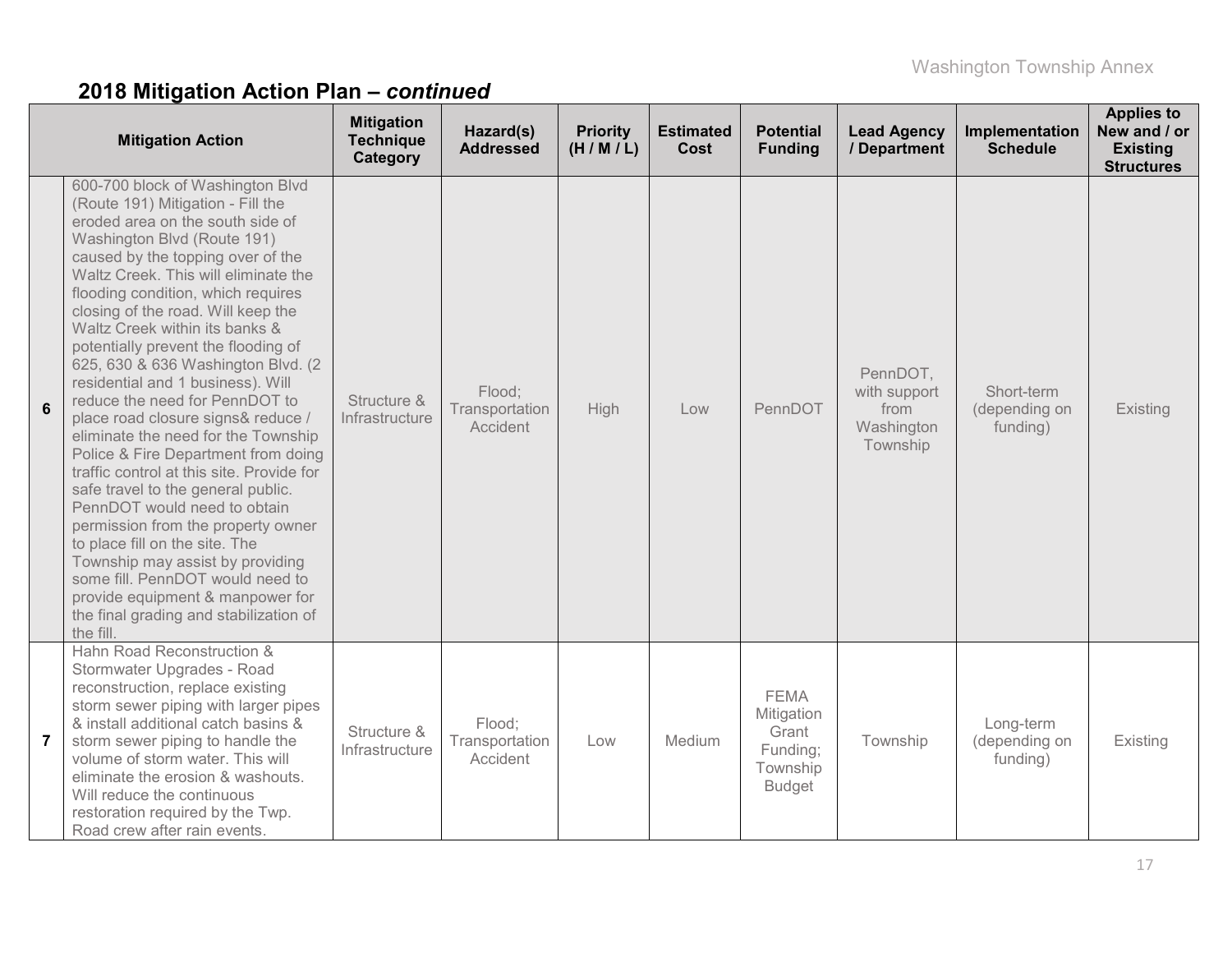|                | <b>Mitigation Action</b>                                                                                                                                                                                                                                                                                                                                                                                                                                                                                                                                                                                                                                                                                                                                                                                                                                                                                                                                                   | <b>Mitigation</b><br><b>Technique</b><br>Category | Hazard(s)<br><b>Addressed</b>        | <b>Priority</b><br>(H/M/L) | <b>Estimated</b><br><b>Cost</b> | <b>Potential</b><br><b>Funding</b>                                          | <b>Lead Agency</b><br>/ Department                         | Implementation<br><b>Schedule</b>       | <b>Applies to</b><br>New and / or<br><b>Existing</b><br><b>Structures</b> |
|----------------|----------------------------------------------------------------------------------------------------------------------------------------------------------------------------------------------------------------------------------------------------------------------------------------------------------------------------------------------------------------------------------------------------------------------------------------------------------------------------------------------------------------------------------------------------------------------------------------------------------------------------------------------------------------------------------------------------------------------------------------------------------------------------------------------------------------------------------------------------------------------------------------------------------------------------------------------------------------------------|---------------------------------------------------|--------------------------------------|----------------------------|---------------------------------|-----------------------------------------------------------------------------|------------------------------------------------------------|-----------------------------------------|---------------------------------------------------------------------------|
| 6              | 600-700 block of Washington Blvd<br>(Route 191) Mitigation - Fill the<br>eroded area on the south side of<br>Washington Blvd (Route 191)<br>caused by the topping over of the<br>Waltz Creek. This will eliminate the<br>flooding condition, which requires<br>closing of the road. Will keep the<br>Waltz Creek within its banks &<br>potentially prevent the flooding of<br>625, 630 & 636 Washington Blvd. (2)<br>residential and 1 business). Will<br>reduce the need for PennDOT to<br>place road closure signs& reduce /<br>eliminate the need for the Township<br>Police & Fire Department from doing<br>traffic control at this site. Provide for<br>safe travel to the general public.<br>PennDOT would need to obtain<br>permission from the property owner<br>to place fill on the site. The<br>Township may assist by providing<br>some fill. PennDOT would need to<br>provide equipment & manpower for<br>the final grading and stabilization of<br>the fill. | Structure &<br>Infrastructure                     | Flood;<br>Transportation<br>Accident | <b>High</b>                | Low                             | PennDOT                                                                     | PennDOT,<br>with support<br>from<br>Washington<br>Township | Short-term<br>(depending on<br>funding) | Existing                                                                  |
| $\overline{7}$ | Hahn Road Reconstruction &<br>Stormwater Upgrades - Road<br>reconstruction, replace existing<br>storm sewer piping with larger pipes<br>& install additional catch basins &<br>storm sewer piping to handle the<br>volume of storm water. This will<br>eliminate the erosion & washouts.<br>Will reduce the continuous<br>restoration required by the Twp.<br>Road crew after rain events.                                                                                                                                                                                                                                                                                                                                                                                                                                                                                                                                                                                 | Structure &<br>Infrastructure                     | Flood;<br>Transportation<br>Accident | Low                        | Medium                          | <b>FEMA</b><br>Mitigation<br>Grant<br>Funding;<br>Township<br><b>Budget</b> | Township                                                   | Long-term<br>(depending on<br>funding)  | Existing                                                                  |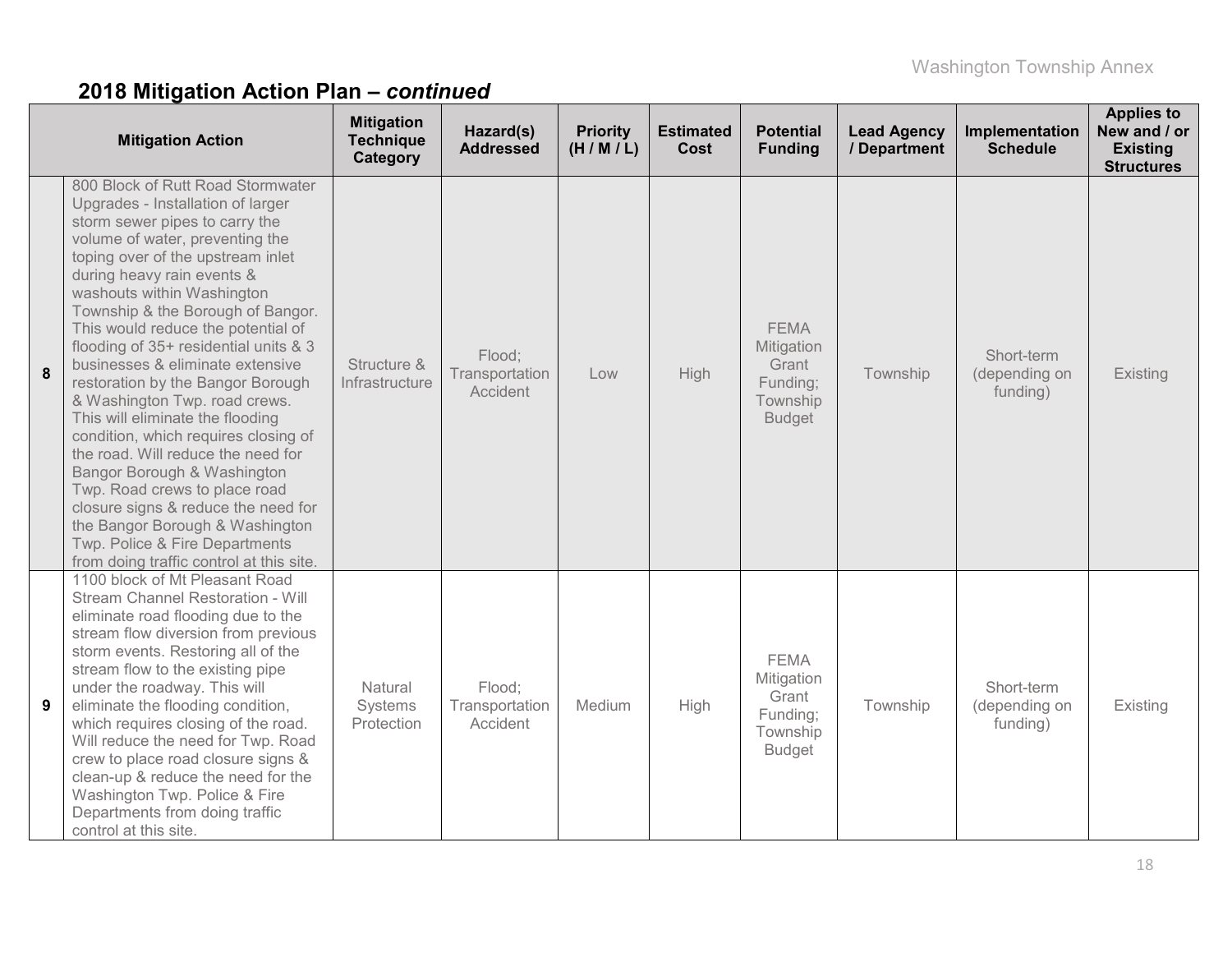|   | <b>Mitigation Action</b>                                                                                                                                                                                                                                                                                                                                                                                                                                                                                                                                                                                                                                                                                                                                                                                             | <b>Mitigation</b><br><b>Technique</b><br>Category | Hazard(s)<br><b>Addressed</b>               | <b>Priority</b><br>(H/M/L) | <b>Estimated</b><br>Cost | <b>Potential</b><br><b>Funding</b>                                          | <b>Lead Agency</b><br>/ Department | Implementation<br><b>Schedule</b>       | <b>Applies to</b><br>New and / or<br><b>Existing</b><br><b>Structures</b> |
|---|----------------------------------------------------------------------------------------------------------------------------------------------------------------------------------------------------------------------------------------------------------------------------------------------------------------------------------------------------------------------------------------------------------------------------------------------------------------------------------------------------------------------------------------------------------------------------------------------------------------------------------------------------------------------------------------------------------------------------------------------------------------------------------------------------------------------|---------------------------------------------------|---------------------------------------------|----------------------------|--------------------------|-----------------------------------------------------------------------------|------------------------------------|-----------------------------------------|---------------------------------------------------------------------------|
| 8 | 800 Block of Rutt Road Stormwater<br>Upgrades - Installation of larger<br>storm sewer pipes to carry the<br>volume of water, preventing the<br>toping over of the upstream inlet<br>during heavy rain events &<br>washouts within Washington<br>Township & the Borough of Bangor.<br>This would reduce the potential of<br>flooding of 35+ residential units & 3<br>businesses & eliminate extensive<br>restoration by the Bangor Borough<br>& Washington Twp. road crews.<br>This will eliminate the flooding<br>condition, which requires closing of<br>the road. Will reduce the need for<br>Bangor Borough & Washington<br>Twp. Road crews to place road<br>closure signs & reduce the need for<br>the Bangor Borough & Washington<br>Twp. Police & Fire Departments<br>from doing traffic control at this site. | Structure &<br>Infrastructure                     | Flood;<br>Transportation<br><b>Accident</b> | Low                        | High                     | <b>FEMA</b><br>Mitigation<br>Grant<br>Funding;<br>Township<br><b>Budget</b> | Township                           | Short-term<br>(depending on<br>funding) | Existing                                                                  |
| 9 | 1100 block of Mt Pleasant Road<br>Stream Channel Restoration - Will<br>eliminate road flooding due to the<br>stream flow diversion from previous<br>storm events. Restoring all of the<br>stream flow to the existing pipe<br>under the roadway. This will<br>eliminate the flooding condition,<br>which requires closing of the road.<br>Will reduce the need for Twp. Road<br>crew to place road closure signs &<br>clean-up & reduce the need for the<br>Washington Twp. Police & Fire<br>Departments from doing traffic<br>control at this site.                                                                                                                                                                                                                                                                 | Natural<br>Systems<br>Protection                  | Flood:<br>Transportation<br>Accident        | Medium                     | High                     | <b>FEMA</b><br>Mitigation<br>Grant<br>Funding:<br>Township<br><b>Budget</b> | Township                           | Short-term<br>(depending on<br>funding) | Existing                                                                  |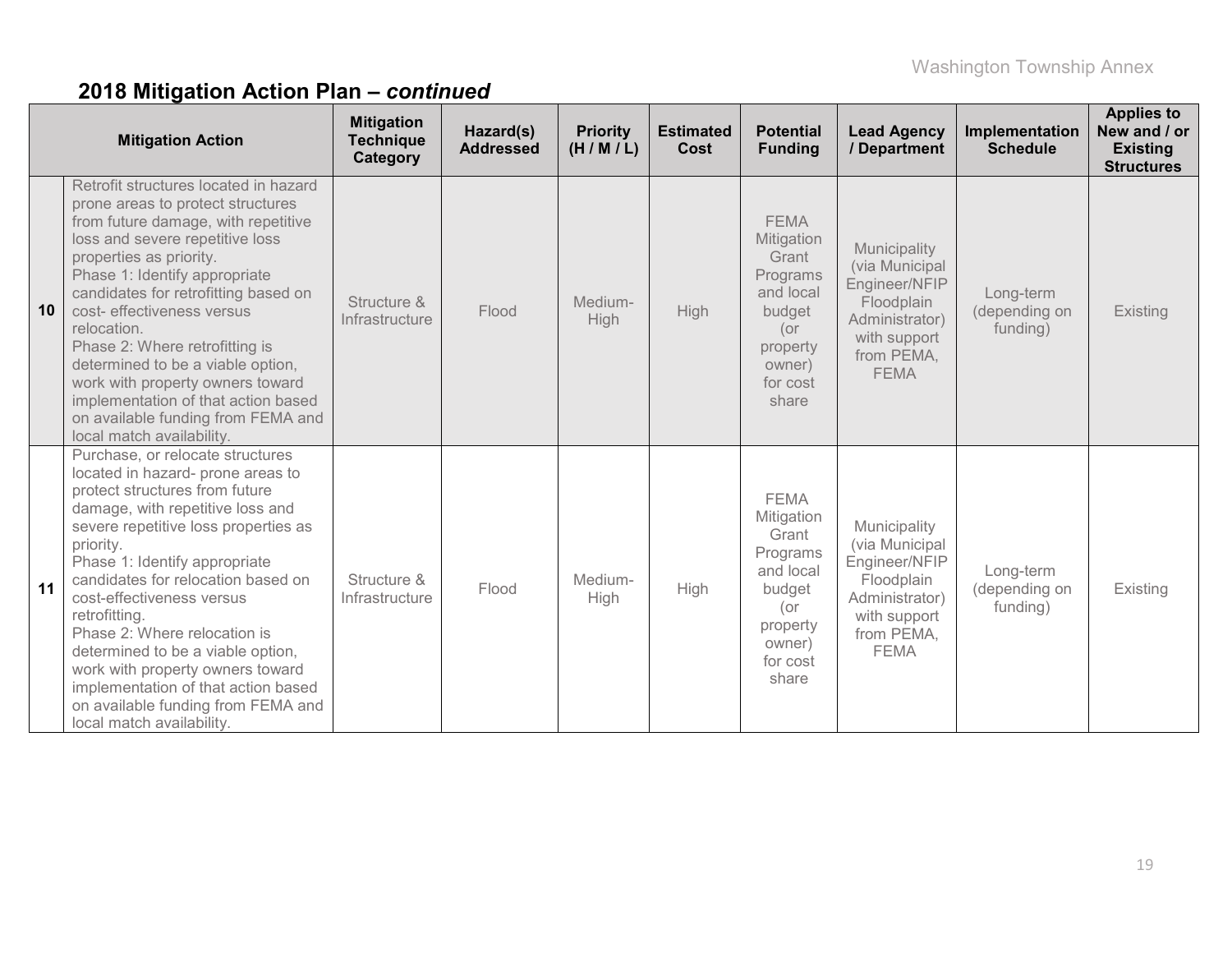|    | <b>Mitigation Action</b>                                                                                                                                                                                                                                                                                                                                                                                                                                                                                                                 | <b>Mitigation</b><br><b>Technique</b><br>Category | Hazard(s)<br><b>Addressed</b> | <b>Priority</b><br>(H/M/L) | <b>Estimated</b><br>Cost | <b>Potential</b><br><b>Funding</b>                                                                                      | <b>Lead Agency</b><br>/ Department                                                                                           | Implementation<br><b>Schedule</b>      | <b>Applies to</b><br>New and / or<br><b>Existing</b><br><b>Structures</b> |
|----|------------------------------------------------------------------------------------------------------------------------------------------------------------------------------------------------------------------------------------------------------------------------------------------------------------------------------------------------------------------------------------------------------------------------------------------------------------------------------------------------------------------------------------------|---------------------------------------------------|-------------------------------|----------------------------|--------------------------|-------------------------------------------------------------------------------------------------------------------------|------------------------------------------------------------------------------------------------------------------------------|----------------------------------------|---------------------------------------------------------------------------|
| 10 | Retrofit structures located in hazard<br>prone areas to protect structures<br>from future damage, with repetitive<br>loss and severe repetitive loss<br>properties as priority.<br>Phase 1: Identify appropriate<br>candidates for retrofitting based on<br>cost- effectiveness versus<br>relocation.<br>Phase 2: Where retrofitting is<br>determined to be a viable option,<br>work with property owners toward<br>implementation of that action based<br>on available funding from FEMA and<br>local match availability.               | Structure &<br>Infrastructure                     | Flood                         | Medium-<br><b>High</b>     | High                     | <b>FEMA</b><br>Mitigation<br>Grant<br>Programs<br>and local<br>budget<br>(or<br>property<br>owner)<br>for cost<br>share | Municipality<br>(via Municipal<br>Engineer/NFIP<br>Floodplain<br>Administrator)<br>with support<br>from PEMA,<br><b>FEMA</b> | Long-term<br>(depending on<br>funding) | Existing                                                                  |
| 11 | Purchase, or relocate structures<br>located in hazard- prone areas to<br>protect structures from future<br>damage, with repetitive loss and<br>severe repetitive loss properties as<br>priority.<br>Phase 1: Identify appropriate<br>candidates for relocation based on<br>cost-effectiveness versus<br>retrofitting.<br>Phase 2: Where relocation is<br>determined to be a viable option,<br>work with property owners toward<br>implementation of that action based<br>on available funding from FEMA and<br>local match availability. | Structure &<br>Infrastructure                     | Flood                         | Medium-<br>High            | High                     | <b>FEMA</b><br>Mitigation<br>Grant<br>Programs<br>and local<br>budget<br>(or<br>property<br>owner)<br>for cost<br>share | Municipality<br>(via Municipal<br>Engineer/NFIP<br>Floodplain<br>Administrator)<br>with support<br>from PEMA,<br><b>FEMA</b> | Long-term<br>(depending on<br>funding) | Existing                                                                  |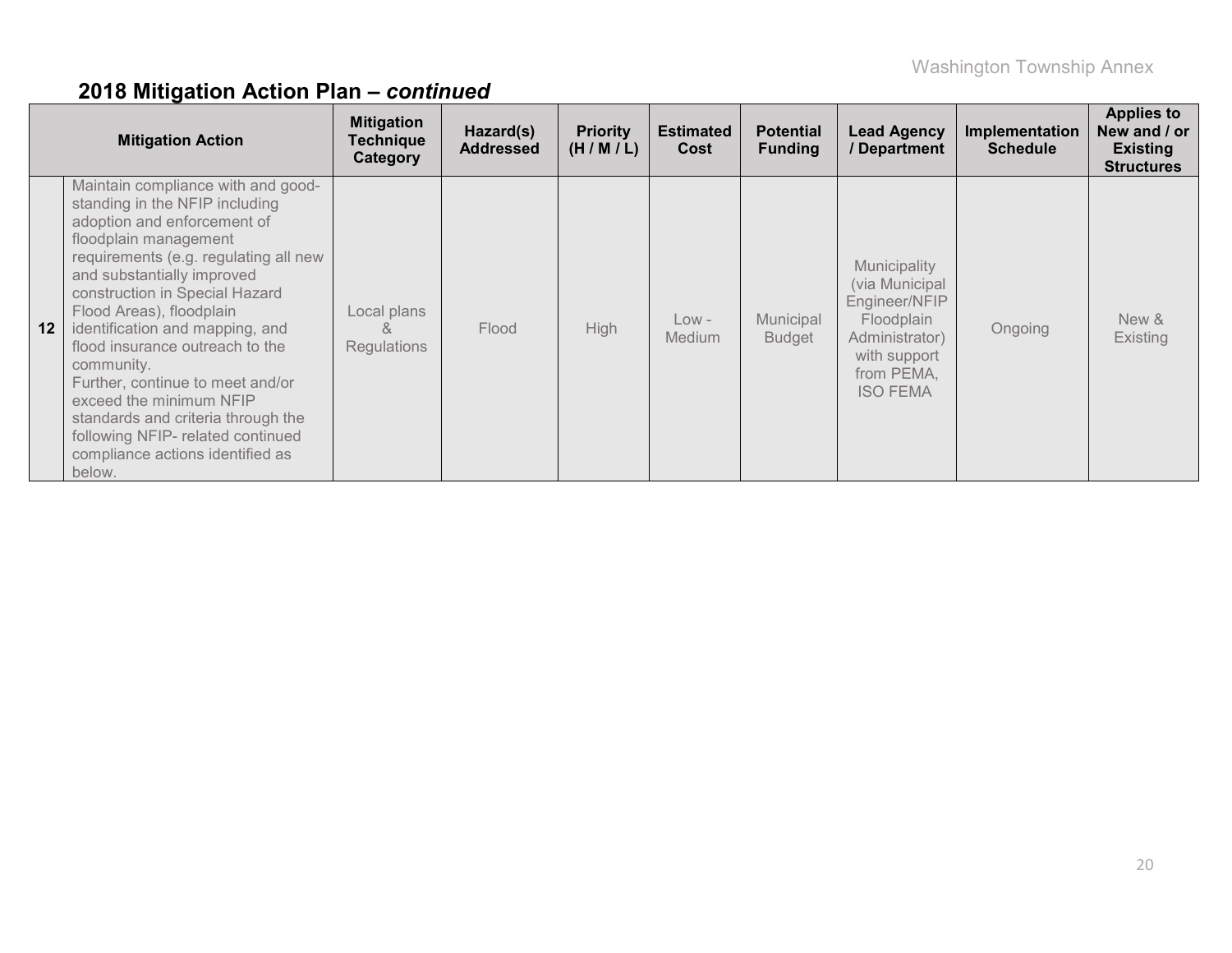|                 | <b>Mitigation Action</b>                                                                                                                                                                                                                                                                                                                                                                                                                                                                                                                      | <b>Mitigation</b><br><b>Technique</b><br>Category | Hazard(s)<br><b>Addressed</b> | <b>Priority</b><br>(H/M/L) | <b>Estimated</b><br>Cost | <b>Potential</b><br><b>Funding</b> | <b>Lead Agency</b><br>/ Department                                                                                               | Implementation<br><b>Schedule</b> | <b>Applies to</b><br>New and / or<br><b>Existing</b><br><b>Structures</b> |
|-----------------|-----------------------------------------------------------------------------------------------------------------------------------------------------------------------------------------------------------------------------------------------------------------------------------------------------------------------------------------------------------------------------------------------------------------------------------------------------------------------------------------------------------------------------------------------|---------------------------------------------------|-------------------------------|----------------------------|--------------------------|------------------------------------|----------------------------------------------------------------------------------------------------------------------------------|-----------------------------------|---------------------------------------------------------------------------|
| 12 <sub>1</sub> | Maintain compliance with and good-<br>standing in the NFIP including<br>adoption and enforcement of<br>floodplain management<br>requirements (e.g. regulating all new<br>and substantially improved<br>construction in Special Hazard<br>Flood Areas), floodplain<br>identification and mapping, and<br>flood insurance outreach to the<br>community.<br>Further, continue to meet and/or<br>exceed the minimum NFIP<br>standards and criteria through the<br>following NFIP- related continued<br>compliance actions identified as<br>below. | Local plans<br>X,<br>Regulations                  | Flood                         | High                       | $Low -$<br>Medium        | Municipal<br><b>Budget</b>         | Municipality<br>(via Municipal<br>Engineer/NFIP<br>Floodplain<br>Administrator)<br>with support<br>from PEMA,<br><b>ISO FEMA</b> | Ongoing                           | New &<br><b>Existing</b>                                                  |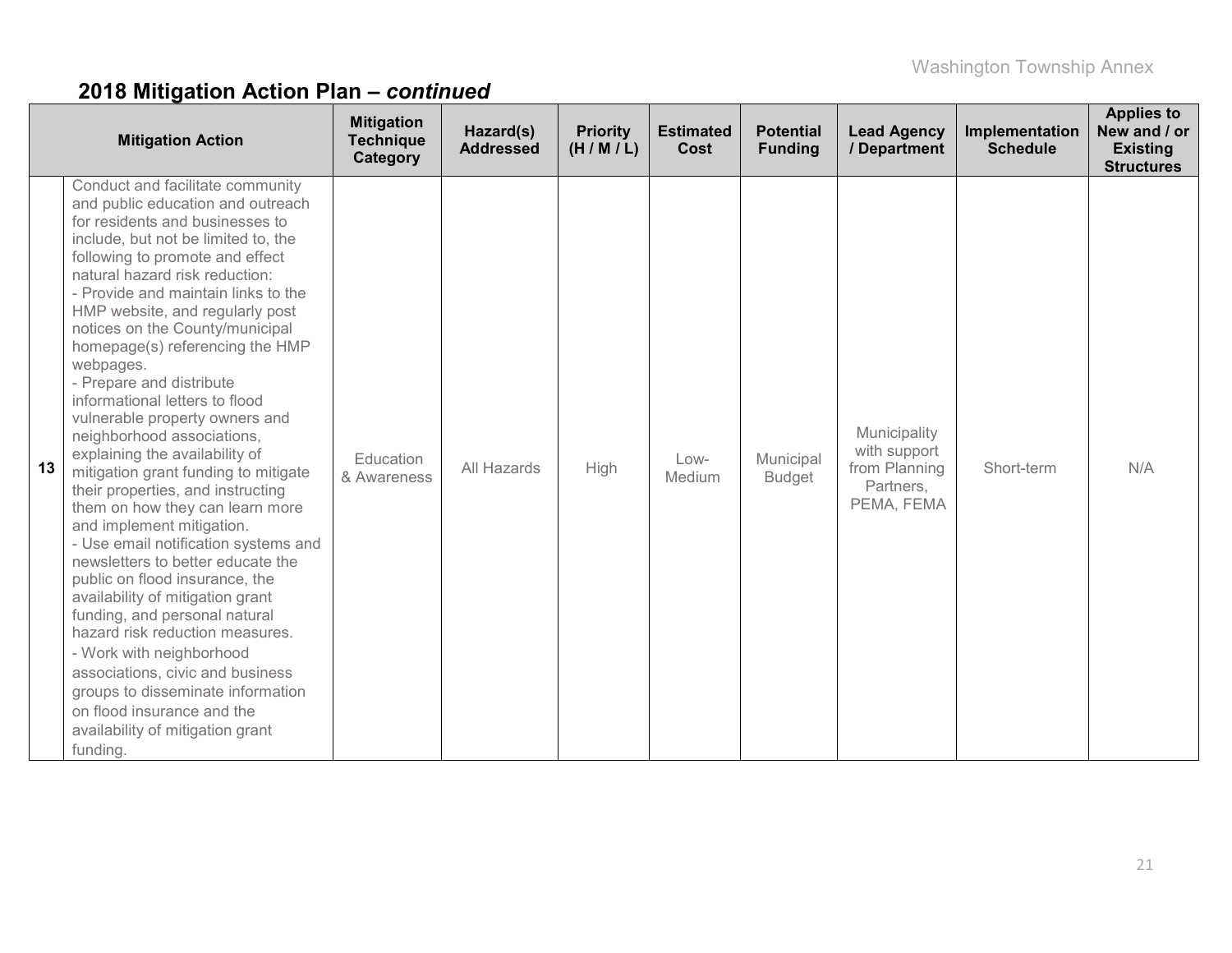|    | <b>Mitigation Action</b>                                                                                                                                                                                                                                                                                                                                                                                                                                                                                                                                                                                                                                                                                                                                                                                                                                                                                                                                                                                                                                                                                 | <b>Mitigation</b><br><b>Technique</b><br>Category | Hazard(s)<br><b>Addressed</b> | <b>Priority</b><br>(H/M/L) | <b>Estimated</b><br>Cost | <b>Potential</b><br><b>Funding</b> | <b>Lead Agency</b><br>/ Department                                       | Implementation<br><b>Schedule</b> | <b>Applies to</b><br>New and / or<br><b>Existing</b><br><b>Structures</b> |
|----|----------------------------------------------------------------------------------------------------------------------------------------------------------------------------------------------------------------------------------------------------------------------------------------------------------------------------------------------------------------------------------------------------------------------------------------------------------------------------------------------------------------------------------------------------------------------------------------------------------------------------------------------------------------------------------------------------------------------------------------------------------------------------------------------------------------------------------------------------------------------------------------------------------------------------------------------------------------------------------------------------------------------------------------------------------------------------------------------------------|---------------------------------------------------|-------------------------------|----------------------------|--------------------------|------------------------------------|--------------------------------------------------------------------------|-----------------------------------|---------------------------------------------------------------------------|
| 13 | Conduct and facilitate community<br>and public education and outreach<br>for residents and businesses to<br>include, but not be limited to, the<br>following to promote and effect<br>natural hazard risk reduction:<br>- Provide and maintain links to the<br>HMP website, and regularly post<br>notices on the County/municipal<br>homepage(s) referencing the HMP<br>webpages.<br>- Prepare and distribute<br>informational letters to flood<br>vulnerable property owners and<br>neighborhood associations,<br>explaining the availability of<br>mitigation grant funding to mitigate<br>their properties, and instructing<br>them on how they can learn more<br>and implement mitigation.<br>- Use email notification systems and<br>newsletters to better educate the<br>public on flood insurance, the<br>availability of mitigation grant<br>funding, and personal natural<br>hazard risk reduction measures.<br>- Work with neighborhood<br>associations, civic and business<br>groups to disseminate information<br>on flood insurance and the<br>availability of mitigation grant<br>funding. | Education<br>& Awareness                          | All Hazards                   | High                       | $Low-$<br>Medium         | Municipal<br><b>Budget</b>         | Municipality<br>with support<br>from Planning<br>Partners,<br>PEMA, FEMA | Short-term                        | N/A                                                                       |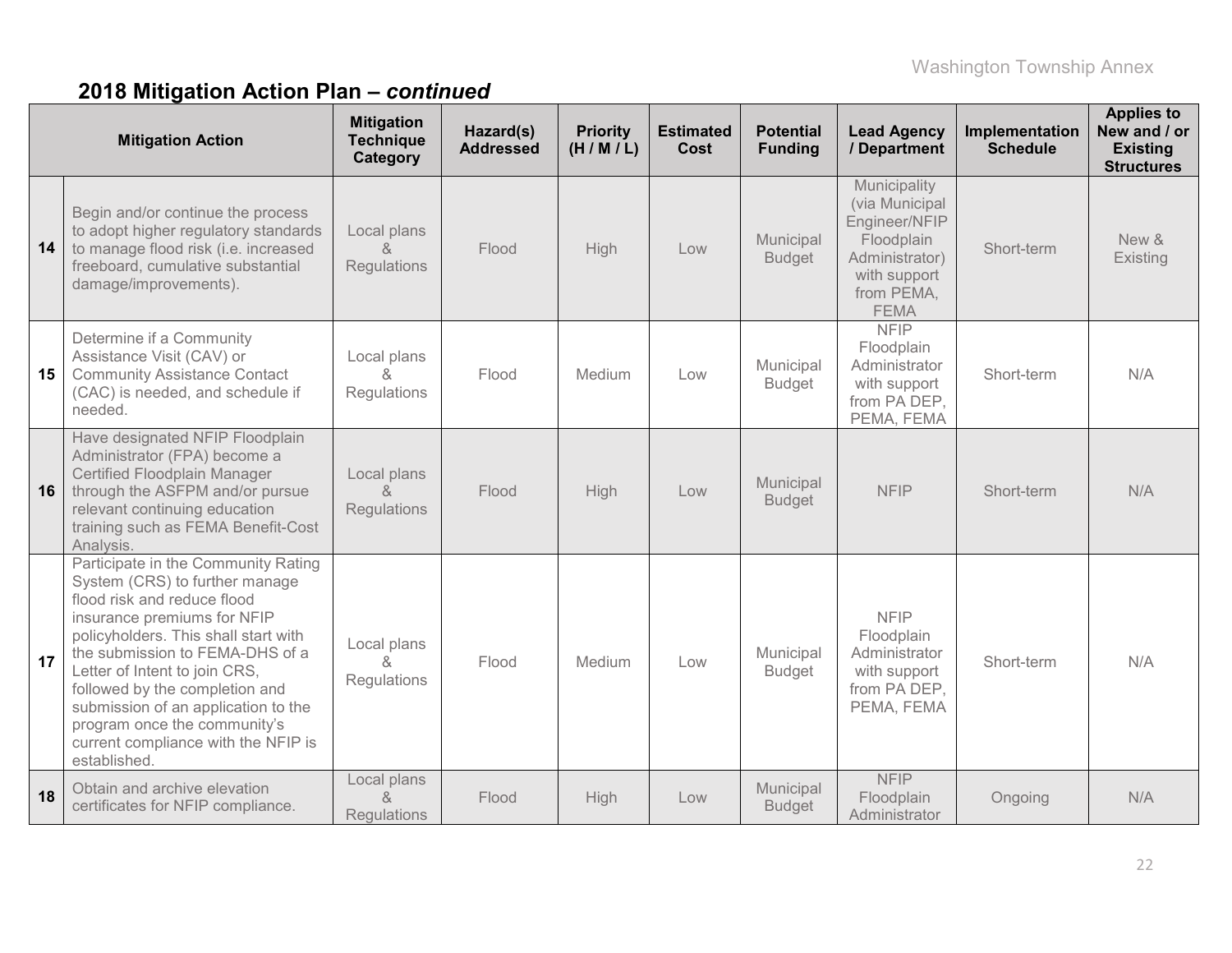|    | <b>Mitigation Action</b>                                                                                                                                                                                                                                                                                                                                                                                        | <b>Mitigation</b><br><b>Technique</b><br>Category | Hazard(s)<br><b>Addressed</b> | <b>Priority</b><br>(H/M/L) | <b>Estimated</b><br>Cost | <b>Potential</b><br><b>Funding</b> | <b>Lead Agency</b><br>/ Department                                                                                           | Implementation<br><b>Schedule</b> | <b>Applies to</b><br>New and / or<br><b>Existing</b><br><b>Structures</b> |
|----|-----------------------------------------------------------------------------------------------------------------------------------------------------------------------------------------------------------------------------------------------------------------------------------------------------------------------------------------------------------------------------------------------------------------|---------------------------------------------------|-------------------------------|----------------------------|--------------------------|------------------------------------|------------------------------------------------------------------------------------------------------------------------------|-----------------------------------|---------------------------------------------------------------------------|
| 14 | Begin and/or continue the process<br>to adopt higher regulatory standards<br>to manage flood risk (i.e. increased<br>freeboard, cumulative substantial<br>damage/improvements).                                                                                                                                                                                                                                 | Local plans<br>$\lambda$<br>Regulations           | Flood                         | High                       | Low                      | Municipal<br><b>Budget</b>         | Municipality<br>(via Municipal<br>Engineer/NFIP<br>Floodplain<br>Administrator)<br>with support<br>from PEMA,<br><b>FEMA</b> | Short-term                        | New &<br>Existing                                                         |
| 15 | Determine if a Community<br>Assistance Visit (CAV) or<br><b>Community Assistance Contact</b><br>(CAC) is needed, and schedule if<br>needed.                                                                                                                                                                                                                                                                     | Local plans<br>&<br>Regulations                   | Flood                         | Medium                     | Low                      | Municipal<br><b>Budget</b>         | <b>NFIP</b><br>Floodplain<br>Administrator<br>with support<br>from PA DEP,<br>PEMA, FEMA                                     | Short-term                        | N/A                                                                       |
| 16 | Have designated NFIP Floodplain<br>Administrator (FPA) become a<br>Certified Floodplain Manager<br>through the ASFPM and/or pursue<br>relevant continuing education<br>training such as FEMA Benefit-Cost<br>Analysis.                                                                                                                                                                                          | Local plans<br>$\kappa$<br><b>Regulations</b>     | Flood                         | High                       | Low                      | Municipal<br><b>Budget</b>         | <b>NFIP</b>                                                                                                                  | Short-term                        | N/A                                                                       |
| 17 | Participate in the Community Rating<br>System (CRS) to further manage<br>flood risk and reduce flood<br>insurance premiums for NFIP<br>policyholders. This shall start with<br>the submission to FEMA-DHS of a<br>Letter of Intent to join CRS,<br>followed by the completion and<br>submission of an application to the<br>program once the community's<br>current compliance with the NFIP is<br>established. | Local plans<br>$\lambda$<br>Regulations           | Flood                         | Medium                     | Low                      | Municipal<br><b>Budget</b>         | <b>NFIP</b><br>Floodplain<br>Administrator<br>with support<br>from PA DEP,<br>PEMA, FEMA                                     | Short-term                        | N/A                                                                       |
| 18 | Obtain and archive elevation<br>certificates for NFIP compliance.                                                                                                                                                                                                                                                                                                                                               | Local plans<br>$\lambda$<br><b>Requlations</b>    | Flood                         | High                       | Low                      | Municipal<br><b>Budget</b>         | <b>NFIP</b><br>Floodplain<br>Administrator                                                                                   | Ongoing                           | N/A                                                                       |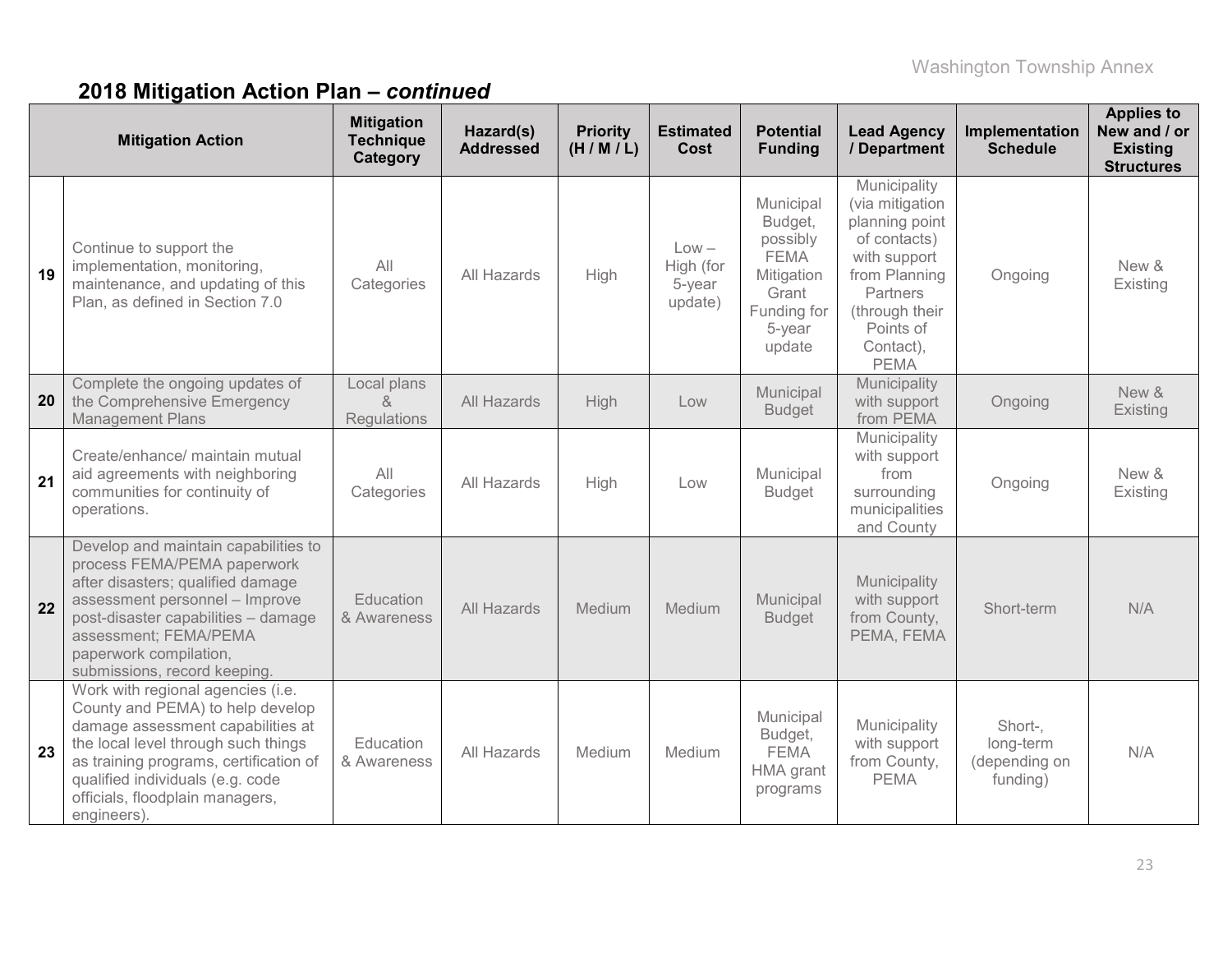|    | <b>Mitigation Action</b>                                                                                                                                                                                                                                                          | <b>Mitigation</b><br><b>Technique</b><br>Category        | Hazard(s)<br><b>Addressed</b> | <b>Priority</b><br>(H/M/L) | <b>Estimated</b><br>Cost                  | <b>Potential</b><br><b>Funding</b>                                                                        | <b>Lead Agency</b><br>/ Department                                                                                                                                        | Implementation<br><b>Schedule</b>                 | <b>Applies to</b><br>New and / or<br><b>Existing</b><br><b>Structures</b> |
|----|-----------------------------------------------------------------------------------------------------------------------------------------------------------------------------------------------------------------------------------------------------------------------------------|----------------------------------------------------------|-------------------------------|----------------------------|-------------------------------------------|-----------------------------------------------------------------------------------------------------------|---------------------------------------------------------------------------------------------------------------------------------------------------------------------------|---------------------------------------------------|---------------------------------------------------------------------------|
| 19 | Continue to support the<br>implementation, monitoring,<br>maintenance, and updating of this<br>Plan, as defined in Section 7.0                                                                                                                                                    | All<br>Categories                                        | All Hazards                   | High                       | $Low -$<br>High (for<br>5-year<br>update) | Municipal<br>Budget,<br>possibly<br><b>FEMA</b><br>Mitigation<br>Grant<br>Funding for<br>5-year<br>update | Municipality<br>(via mitigation<br>planning point<br>of contacts)<br>with support<br>from Planning<br>Partners<br>(through their<br>Points of<br>Contact),<br><b>PEMA</b> | Ongoing                                           | New &<br>Existing                                                         |
| 20 | Complete the ongoing updates of<br>the Comprehensive Emergency<br><b>Management Plans</b>                                                                                                                                                                                         | Local plans<br>$\mathcal{S}_{\mathbf{x}}$<br>Regulations | All Hazards                   | High                       | Low                                       | Municipal<br><b>Budget</b>                                                                                | Municipality<br>with support<br>from PEMA                                                                                                                                 | Ongoing                                           | New &<br>Existing                                                         |
| 21 | Create/enhance/ maintain mutual<br>aid agreements with neighboring<br>communities for continuity of<br>operations.                                                                                                                                                                | All<br>Categories                                        | All Hazards                   | High                       | Low                                       | Municipal<br><b>Budget</b>                                                                                | Municipality<br>with support<br>from<br>surrounding<br>municipalities<br>and County                                                                                       | Ongoing                                           | New &<br>Existing                                                         |
| 22 | Develop and maintain capabilities to<br>process FEMA/PEMA paperwork<br>after disasters; qualified damage<br>assessment personnel - Improve<br>post-disaster capabilities - damage<br>assessment; FEMA/PEMA<br>paperwork compilation,<br>submissions, record keeping.              | Education<br>& Awareness                                 | All Hazards                   | Medium                     | Medium                                    | Municipal<br><b>Budget</b>                                                                                | Municipality<br>with support<br>from County,<br>PEMA, FEMA                                                                                                                | Short-term                                        | N/A                                                                       |
| 23 | Work with regional agencies (i.e.<br>County and PEMA) to help develop<br>damage assessment capabilities at<br>the local level through such things<br>as training programs, certification of<br>qualified individuals (e.g. code<br>officials, floodplain managers,<br>engineers). | Education<br>& Awareness                                 | All Hazards                   | Medium                     | Medium                                    | Municipal<br>Budget,<br><b>FEMA</b><br>HMA grant<br>programs                                              | Municipality<br>with support<br>from County,<br><b>PEMA</b>                                                                                                               | Short-,<br>long-term<br>(depending on<br>funding) | N/A                                                                       |